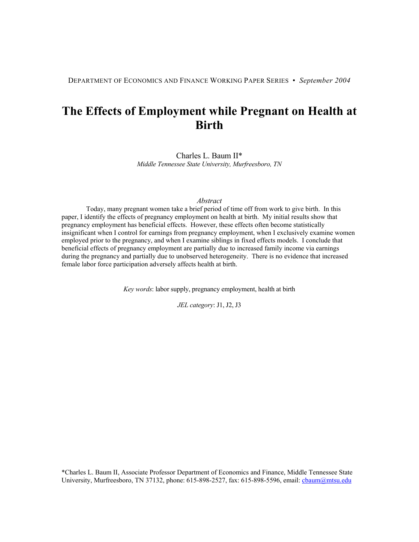DEPARTMENT OF ECONOMICS AND FINANCE WORKING PAPER SERIES • *September 2004*

# **The Effects of Employment while Pregnant on Health at Birth**

Charles L. Baum II\* *Middle Tennessee State University, Murfreesboro, TN* 

#### *Abstract*

Today, many pregnant women take a brief period of time off from work to give birth. In this paper, I identify the effects of pregnancy employment on health at birth. My initial results show that pregnancy employment has beneficial effects. However, these effects often become statistically insignificant when I control for earnings from pregnancy employment, when I exclusively examine women employed prior to the pregnancy, and when I examine siblings in fixed effects models. I conclude that beneficial effects of pregnancy employment are partially due to increased family income via earnings during the pregnancy and partially due to unobserved heterogeneity. There is no evidence that increased female labor force participation adversely affects health at birth.

*Key words*: labor supply, pregnancy employment, health at birth

*JEL category*: J1, J2, J3

\*Charles L. Baum II, Associate Professor Department of Economics and Finance, Middle Tennessee State University, Murfreesboro, TN 37132, phone: 615-898-2527, fax: 615-898-5596, email: *cbaum@mtsu.edu*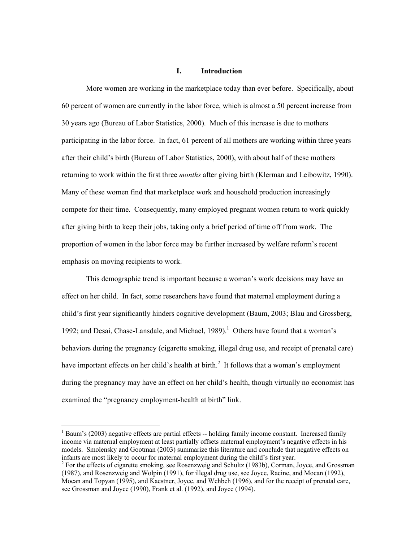#### **I. Introduction**

More women are working in the marketplace today than ever before. Specifically, about 60 percent of women are currently in the labor force, which is almost a 50 percent increase from 30 years ago (Bureau of Labor Statistics, 2000). Much of this increase is due to mothers participating in the labor force. In fact, 61 percent of all mothers are working within three years after their child's birth (Bureau of Labor Statistics, 2000), with about half of these mothers returning to work within the first three *months* after giving birth (Klerman and Leibowitz, 1990). Many of these women find that marketplace work and household production increasingly compete for their time. Consequently, many employed pregnant women return to work quickly after giving birth to keep their jobs, taking only a brief period of time off from work. The proportion of women in the labor force may be further increased by welfare reform's recent emphasis on moving recipients to work.

This demographic trend is important because a woman's work decisions may have an effect on her child. In fact, some researchers have found that maternal employment during a child's first year significantly hinders cognitive development (Baum, 2003; Blau and Grossberg, 1992; and Desai, Chase-Lansdale, and Michael,  $1989$ ).<sup>1</sup> Others have found that a woman's behaviors during the pregnancy (cigarette smoking, illegal drug use, and receipt of prenatal care) have important effects on her child's health at birth. $<sup>2</sup>$  It follows that a woman's employment</sup> during the pregnancy may have an effect on her child's health, though virtually no economist has examined the "pregnancy employment-health at birth" link.

 $1$  Baum's (2003) negative effects are partial effects  $-$  holding family income constant. Increased family income via maternal employment at least partially offsets maternal employment's negative effects in his models. Smolensky and Gootman (2003) summarize this literature and conclude that negative effects on infants are most likely to occur for maternal employment during the child's first year.

<sup>&</sup>lt;sup>2</sup> For the effects of cigarette smoking, see Rosenzweig and Schultz (1983b), Corman, Joyce, and Grossman (1987), and Rosenzweig and Wolpin (1991), for illegal drug use, see Joyce, Racine, and Mocan (1992), Mocan and Topyan (1995), and Kaestner, Joyce, and Wehbeh (1996), and for the receipt of prenatal care, see Grossman and Joyce (1990), Frank et al. (1992), and Joyce (1994).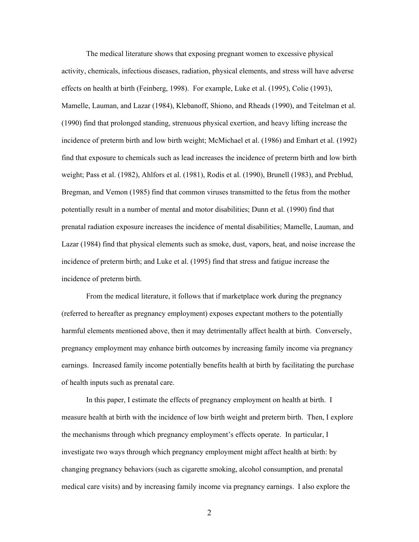The medical literature shows that exposing pregnant women to excessive physical activity, chemicals, infectious diseases, radiation, physical elements, and stress will have adverse effects on health at birth (Feinberg, 1998). For example, Luke et al. (1995), Colie (1993), Mamelle, Lauman, and Lazar (1984), Klebanoff, Shiono, and Rheads (1990), and Teitelman et al. (1990) find that prolonged standing, strenuous physical exertion, and heavy lifting increase the incidence of preterm birth and low birth weight; McMichael et al. (1986) and Emhart et al. (1992) find that exposure to chemicals such as lead increases the incidence of preterm birth and low birth weight; Pass et al. (1982), Ahlfors et al. (1981), Rodis et al. (1990), Brunell (1983), and Preblud, Bregman, and Vemon (1985) find that common viruses transmitted to the fetus from the mother potentially result in a number of mental and motor disabilities; Dunn et al. (1990) find that prenatal radiation exposure increases the incidence of mental disabilities; Mamelle, Lauman, and Lazar (1984) find that physical elements such as smoke, dust, vapors, heat, and noise increase the incidence of preterm birth; and Luke et al. (1995) find that stress and fatigue increase the incidence of preterm birth.

From the medical literature, it follows that if marketplace work during the pregnancy (referred to hereafter as pregnancy employment) exposes expectant mothers to the potentially harmful elements mentioned above, then it may detrimentally affect health at birth. Conversely, pregnancy employment may enhance birth outcomes by increasing family income via pregnancy earnings. Increased family income potentially benefits health at birth by facilitating the purchase of health inputs such as prenatal care.

In this paper, I estimate the effects of pregnancy employment on health at birth. I measure health at birth with the incidence of low birth weight and preterm birth. Then, I explore the mechanisms through which pregnancy employment's effects operate. In particular, I investigate two ways through which pregnancy employment might affect health at birth: by changing pregnancy behaviors (such as cigarette smoking, alcohol consumption, and prenatal medical care visits) and by increasing family income via pregnancy earnings. I also explore the

2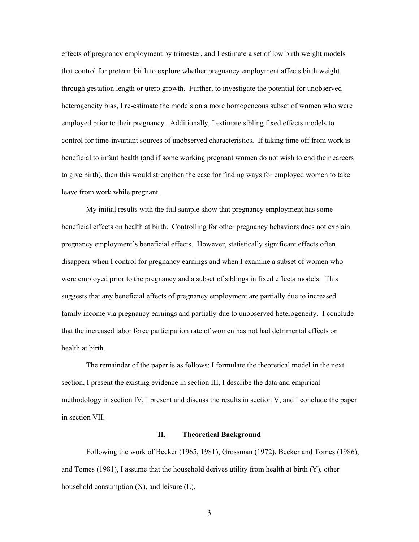effects of pregnancy employment by trimester, and I estimate a set of low birth weight models that control for preterm birth to explore whether pregnancy employment affects birth weight through gestation length or utero growth. Further, to investigate the potential for unobserved heterogeneity bias, I re-estimate the models on a more homogeneous subset of women who were employed prior to their pregnancy. Additionally, I estimate sibling fixed effects models to control for time-invariant sources of unobserved characteristics. If taking time off from work is beneficial to infant health (and if some working pregnant women do not wish to end their careers to give birth), then this would strengthen the case for finding ways for employed women to take leave from work while pregnant.

My initial results with the full sample show that pregnancy employment has some beneficial effects on health at birth. Controlling for other pregnancy behaviors does not explain pregnancy employment's beneficial effects. However, statistically significant effects often disappear when I control for pregnancy earnings and when I examine a subset of women who were employed prior to the pregnancy and a subset of siblings in fixed effects models. This suggests that any beneficial effects of pregnancy employment are partially due to increased family income via pregnancy earnings and partially due to unobserved heterogeneity. I conclude that the increased labor force participation rate of women has not had detrimental effects on health at birth.

The remainder of the paper is as follows: I formulate the theoretical model in the next section, I present the existing evidence in section III, I describe the data and empirical methodology in section IV, I present and discuss the results in section V, and I conclude the paper in section VII.

# **II. Theoretical Background**

Following the work of Becker (1965, 1981), Grossman (1972), Becker and Tomes (1986), and Tomes (1981), I assume that the household derives utility from health at birth (Y), other household consumption  $(X)$ , and leisure  $(L)$ ,

3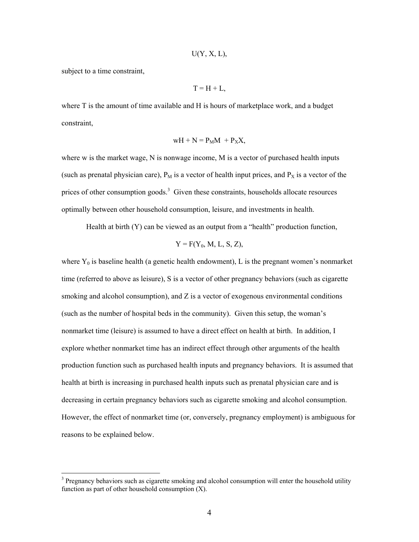$$
U(Y, X, L)
$$
,

subject to a time constraint,

 $\overline{a}$ 

 $T = H + L$ 

where T is the amount of time available and H is hours of marketplace work, and a budget constraint,

$$
wH + N = P_M M + P_X X,
$$

where w is the market wage, N is nonwage income, M is a vector of purchased health inputs (such as prenatal physician care),  $P_M$  is a vector of health input prices, and  $P_X$  is a vector of the prices of other consumption goods.<sup>3</sup> Given these constraints, households allocate resources optimally between other household consumption, leisure, and investments in health.

Health at birth (Y) can be viewed as an output from a "health" production function,

$$
Y = F(Y_0, M, L, S, Z),
$$

where  $Y_0$  is baseline health (a genetic health endowment), L is the pregnant women's nonmarket time (referred to above as leisure), S is a vector of other pregnancy behaviors (such as cigarette smoking and alcohol consumption), and Z is a vector of exogenous environmental conditions (such as the number of hospital beds in the community). Given this setup, the woman's nonmarket time (leisure) is assumed to have a direct effect on health at birth. In addition, I explore whether nonmarket time has an indirect effect through other arguments of the health production function such as purchased health inputs and pregnancy behaviors. It is assumed that health at birth is increasing in purchased health inputs such as prenatal physician care and is decreasing in certain pregnancy behaviors such as cigarette smoking and alcohol consumption. However, the effect of nonmarket time (or, conversely, pregnancy employment) is ambiguous for reasons to be explained below.

 $3$  Pregnancy behaviors such as cigarette smoking and alcohol consumption will enter the household utility function as part of other household consumption  $(X)$ .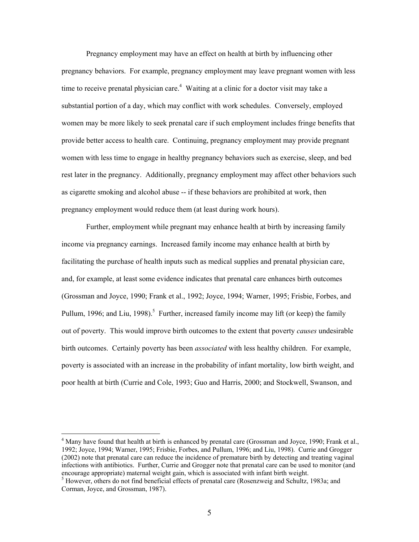Pregnancy employment may have an effect on health at birth by influencing other pregnancy behaviors. For example, pregnancy employment may leave pregnant women with less time to receive prenatal physician care.<sup>4</sup> Waiting at a clinic for a doctor visit may take a substantial portion of a day, which may conflict with work schedules. Conversely, employed women may be more likely to seek prenatal care if such employment includes fringe benefits that provide better access to health care. Continuing, pregnancy employment may provide pregnant women with less time to engage in healthy pregnancy behaviors such as exercise, sleep, and bed rest later in the pregnancy. Additionally, pregnancy employment may affect other behaviors such as cigarette smoking and alcohol abuse -- if these behaviors are prohibited at work, then pregnancy employment would reduce them (at least during work hours).

Further, employment while pregnant may enhance health at birth by increasing family income via pregnancy earnings. Increased family income may enhance health at birth by facilitating the purchase of health inputs such as medical supplies and prenatal physician care, and, for example, at least some evidence indicates that prenatal care enhances birth outcomes (Grossman and Joyce, 1990; Frank et al., 1992; Joyce, 1994; Warner, 1995; Frisbie, Forbes, and Pullum, 1996; and Liu, 1998).<sup>5</sup> Further, increased family income may lift (or keep) the family out of poverty. This would improve birth outcomes to the extent that poverty *causes* undesirable birth outcomes. Certainly poverty has been *associated* with less healthy children. For example, poverty is associated with an increase in the probability of infant mortality, low birth weight, and poor health at birth (Currie and Cole, 1993; Guo and Harris, 2000; and Stockwell, Swanson, and

<sup>&</sup>lt;sup>4</sup> Many have found that health at birth is enhanced by prenatal care (Grossman and Joyce, 1990; Frank et al., 1992; Joyce, 1994; Warner, 1995; Frisbie, Forbes, and Pullum, 1996; and Liu, 1998). Currie and Grogger (2002) note that prenatal care can reduce the incidence of premature birth by detecting and treating vaginal infections with antibiotics. Further, Currie and Grogger note that prenatal care can be used to monitor (and encourage appropriate) maternal weight gain, which is associated with infant birth weight.

 $^5$  However, others do not find beneficial effects of prenatal care (Rosenzweig and Schultz, 1983a; and Corman, Joyce, and Grossman, 1987).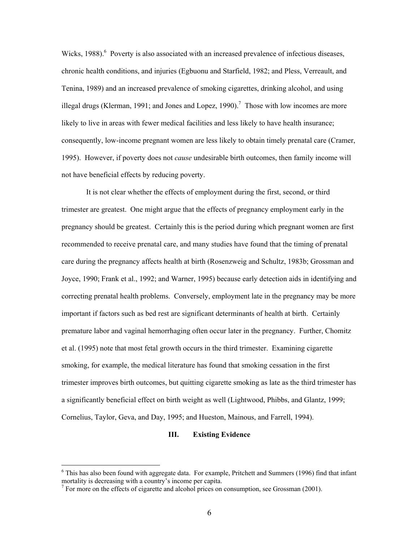Wicks, 1988).<sup>6</sup> Poverty is also associated with an increased prevalence of infectious diseases, chronic health conditions, and injuries (Egbuonu and Starfield, 1982; and Pless, Verreault, and Tenina, 1989) and an increased prevalence of smoking cigarettes, drinking alcohol, and using illegal drugs (Klerman, 1991; and Jones and Lopez, 1990).<sup>7</sup> Those with low incomes are more likely to live in areas with fewer medical facilities and less likely to have health insurance; consequently, low-income pregnant women are less likely to obtain timely prenatal care (Cramer, 1995). However, if poverty does not *cause* undesirable birth outcomes, then family income will not have beneficial effects by reducing poverty.

It is not clear whether the effects of employment during the first, second, or third trimester are greatest. One might argue that the effects of pregnancy employment early in the pregnancy should be greatest. Certainly this is the period during which pregnant women are first recommended to receive prenatal care, and many studies have found that the timing of prenatal care during the pregnancy affects health at birth (Rosenzweig and Schultz, 1983b; Grossman and Joyce, 1990; Frank et al., 1992; and Warner, 1995) because early detection aids in identifying and correcting prenatal health problems. Conversely, employment late in the pregnancy may be more important if factors such as bed rest are significant determinants of health at birth. Certainly premature labor and vaginal hemorrhaging often occur later in the pregnancy. Further, Chomitz et al. (1995) note that most fetal growth occurs in the third trimester. Examining cigarette smoking, for example, the medical literature has found that smoking cessation in the first trimester improves birth outcomes, but quitting cigarette smoking as late as the third trimester has a significantly beneficial effect on birth weight as well (Lightwood, Phibbs, and Glantz, 1999; Cornelius, Taylor, Geva, and Day, 1995; and Hueston, Mainous, and Farrell, 1994).

#### **III. Existing Evidence**

<sup>&</sup>lt;sup>6</sup> This has also been found with aggregate data. For example, Pritchett and Summers (1996) find that infant mortality is decreasing with a country's income per capita.

 $7$  For more on the effects of cigarette and alcohol prices on consumption, see Grossman (2001).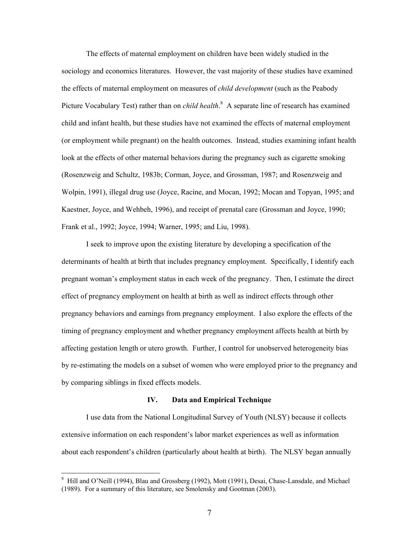The effects of maternal employment on children have been widely studied in the sociology and economics literatures. However, the vast majority of these studies have examined the effects of maternal employment on measures of *child development* (such as the Peabody Picture Vocabulary Test) rather than on *child health*.<sup>8</sup> A separate line of research has examined child and infant health, but these studies have not examined the effects of maternal employment (or employment while pregnant) on the health outcomes. Instead, studies examining infant health look at the effects of other maternal behaviors during the pregnancy such as cigarette smoking (Rosenzweig and Schultz, 1983b; Corman, Joyce, and Grossman, 1987; and Rosenzweig and Wolpin, 1991), illegal drug use (Joyce, Racine, and Mocan, 1992; Mocan and Topyan, 1995; and Kaestner, Joyce, and Wehbeh, 1996), and receipt of prenatal care (Grossman and Joyce, 1990; Frank et al., 1992; Joyce, 1994; Warner, 1995; and Liu, 1998).

I seek to improve upon the existing literature by developing a specification of the determinants of health at birth that includes pregnancy employment. Specifically, I identify each pregnant woman's employment status in each week of the pregnancy. Then, I estimate the direct effect of pregnancy employment on health at birth as well as indirect effects through other pregnancy behaviors and earnings from pregnancy employment. I also explore the effects of the timing of pregnancy employment and whether pregnancy employment affects health at birth by affecting gestation length or utero growth. Further, I control for unobserved heterogeneity bias by re-estimating the models on a subset of women who were employed prior to the pregnancy and by comparing siblings in fixed effects models.

#### **IV. Data and Empirical Technique**

I use data from the National Longitudinal Survey of Youth (NLSY) because it collects extensive information on each respondent's labor market experiences as well as information about each respondent's children (particularly about health at birth). The NLSY began annually

<sup>&</sup>lt;sup>8</sup> Hill and O'Neill (1994), Blau and Grossberg (1992), Mott (1991), Desai, Chase-Lansdale, and Michael (1989). For a summary of this literature, see Smolensky and Gootman (2003).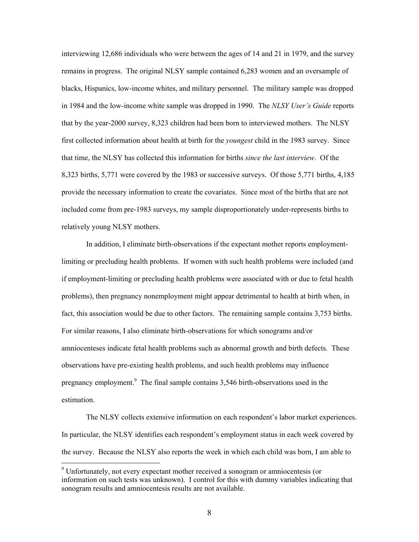interviewing 12,686 individuals who were between the ages of 14 and 21 in 1979, and the survey remains in progress. The original NLSY sample contained 6,283 women and an oversample of blacks, Hispanics, low-income whites, and military personnel. The military sample was dropped in 1984 and the low-income white sample was dropped in 1990. The *NLSY User's Guide* reports that by the year-2000 survey, 8,323 children had been born to interviewed mothers. The NLSY first collected information about health at birth for the *youngest* child in the 1983 survey. Since that time, the NLSY has collected this information for births *since the last interview*. Of the 8,323 births, 5,771 were covered by the 1983 or successive surveys. Of those 5,771 births, 4,185 provide the necessary information to create the covariates. Since most of the births that are not included come from pre-1983 surveys, my sample disproportionately under-represents births to relatively young NLSY mothers.

In addition, I eliminate birth-observations if the expectant mother reports employmentlimiting or precluding health problems. If women with such health problems were included (and if employment-limiting or precluding health problems were associated with or due to fetal health problems), then pregnancy nonemployment might appear detrimental to health at birth when, in fact, this association would be due to other factors. The remaining sample contains 3,753 births. For similar reasons, I also eliminate birth-observations for which sonograms and/or amniocenteses indicate fetal health problems such as abnormal growth and birth defects. These observations have pre-existing health problems, and such health problems may influence pregnancy employment.<sup>9</sup> The final sample contains 3,546 birth-observations used in the estimation.

The NLSY collects extensive information on each respondent's labor market experiences. In particular, the NLSY identifies each respondent's employment status in each week covered by the survey. Because the NLSY also reports the week in which each child was born, I am able to

<sup>&</sup>lt;sup>9</sup> Unfortunately, not every expectant mother received a sonogram or amniocentesis (or information on such tests was unknown). I control for this with dummy variables indicating that sonogram results and amniocentesis results are not available.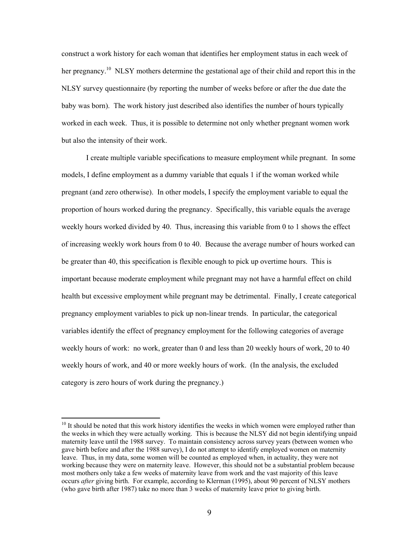construct a work history for each woman that identifies her employment status in each week of her pregnancy.<sup>10</sup> NLSY mothers determine the gestational age of their child and report this in the NLSY survey questionnaire (by reporting the number of weeks before or after the due date the baby was born). The work history just described also identifies the number of hours typically worked in each week. Thus, it is possible to determine not only whether pregnant women work but also the intensity of their work.

I create multiple variable specifications to measure employment while pregnant. In some models, I define employment as a dummy variable that equals 1 if the woman worked while pregnant (and zero otherwise). In other models, I specify the employment variable to equal the proportion of hours worked during the pregnancy. Specifically, this variable equals the average weekly hours worked divided by 40. Thus, increasing this variable from 0 to 1 shows the effect of increasing weekly work hours from 0 to 40. Because the average number of hours worked can be greater than 40, this specification is flexible enough to pick up overtime hours. This is important because moderate employment while pregnant may not have a harmful effect on child health but excessive employment while pregnant may be detrimental. Finally, I create categorical pregnancy employment variables to pick up non-linear trends. In particular, the categorical variables identify the effect of pregnancy employment for the following categories of average weekly hours of work: no work, greater than 0 and less than 20 weekly hours of work, 20 to 40 weekly hours of work, and 40 or more weekly hours of work. (In the analysis, the excluded category is zero hours of work during the pregnancy.)

<sup>&</sup>lt;sup>10</sup> It should be noted that this work history identifies the weeks in which women were employed rather than the weeks in which they were actually working. This is because the NLSY did not begin identifying unpaid maternity leave until the 1988 survey. To maintain consistency across survey years (between women who gave birth before and after the 1988 survey), I do not attempt to identify employed women on maternity leave. Thus, in my data, some women will be counted as employed when, in actuality, they were not working because they were on maternity leave. However, this should not be a substantial problem because most mothers only take a few weeks of maternity leave from work and the vast majority of this leave occurs *after* giving birth. For example, according to Klerman (1995), about 90 percent of NLSY mothers (who gave birth after 1987) take no more than 3 weeks of maternity leave prior to giving birth.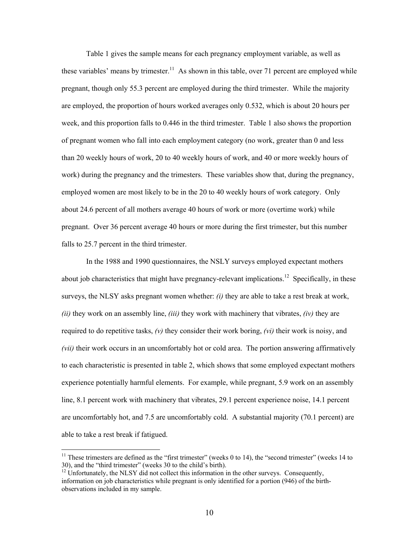Table 1 gives the sample means for each pregnancy employment variable, as well as these variables' means by trimester.<sup>11</sup> As shown in this table, over 71 percent are employed while pregnant, though only 55.3 percent are employed during the third trimester. While the majority are employed, the proportion of hours worked averages only 0.532, which is about 20 hours per week, and this proportion falls to 0.446 in the third trimester. Table 1 also shows the proportion of pregnant women who fall into each employment category (no work, greater than 0 and less than 20 weekly hours of work, 20 to 40 weekly hours of work, and 40 or more weekly hours of work) during the pregnancy and the trimesters. These variables show that, during the pregnancy, employed women are most likely to be in the 20 to 40 weekly hours of work category. Only about 24.6 percent of all mothers average 40 hours of work or more (overtime work) while pregnant. Over 36 percent average 40 hours or more during the first trimester, but this number falls to 25.7 percent in the third trimester.

 In the 1988 and 1990 questionnaires, the NSLY surveys employed expectant mothers about job characteristics that might have pregnancy-relevant implications.<sup>12</sup> Specifically, in these surveys, the NLSY asks pregnant women whether: *(i)* they are able to take a rest break at work, *(ii)* they work on an assembly line, *(iii)* they work with machinery that vibrates, *(iv)* they are required to do repetitive tasks, *(v)* they consider their work boring, *(vi)* their work is noisy, and *(vii)* their work occurs in an uncomfortably hot or cold area. The portion answering affirmatively to each characteristic is presented in table 2, which shows that some employed expectant mothers experience potentially harmful elements. For example, while pregnant, 5.9 work on an assembly line, 8.1 percent work with machinery that vibrates, 29.1 percent experience noise, 14.1 percent are uncomfortably hot, and 7.5 are uncomfortably cold. A substantial majority (70.1 percent) are able to take a rest break if fatigued.

<sup>&</sup>lt;sup>11</sup> These trimesters are defined as the "first trimester" (weeks 0 to 14), the "second trimester" (weeks 14 to 30), and the "third trimester" (weeks 30 to the child's birth). 12 Unfortunately, the NLSY did not collect this information in the other surveys. Consequently,

information on job characteristics while pregnant is only identified for a portion (946) of the birthobservations included in my sample.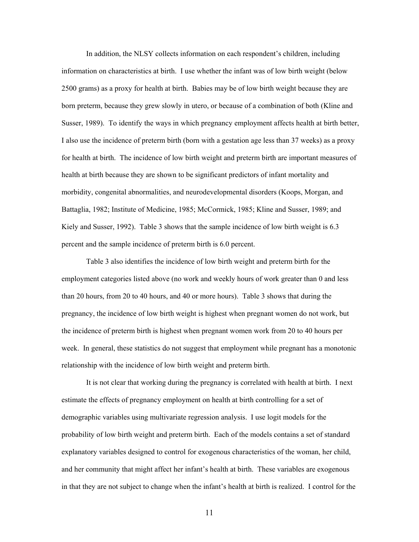In addition, the NLSY collects information on each respondent's children, including information on characteristics at birth. I use whether the infant was of low birth weight (below 2500 grams) as a proxy for health at birth. Babies may be of low birth weight because they are born preterm, because they grew slowly in utero, or because of a combination of both (Kline and Susser, 1989). To identify the ways in which pregnancy employment affects health at birth better, I also use the incidence of preterm birth (born with a gestation age less than 37 weeks) as a proxy for health at birth. The incidence of low birth weight and preterm birth are important measures of health at birth because they are shown to be significant predictors of infant mortality and morbidity, congenital abnormalities, and neurodevelopmental disorders (Koops, Morgan, and Battaglia, 1982; Institute of Medicine, 1985; McCormick, 1985; Kline and Susser, 1989; and Kiely and Susser, 1992). Table 3 shows that the sample incidence of low birth weight is 6.3 percent and the sample incidence of preterm birth is 6.0 percent.

Table 3 also identifies the incidence of low birth weight and preterm birth for the employment categories listed above (no work and weekly hours of work greater than 0 and less than 20 hours, from 20 to 40 hours, and 40 or more hours). Table 3 shows that during the pregnancy, the incidence of low birth weight is highest when pregnant women do not work, but the incidence of preterm birth is highest when pregnant women work from 20 to 40 hours per week. In general, these statistics do not suggest that employment while pregnant has a monotonic relationship with the incidence of low birth weight and preterm birth.

It is not clear that working during the pregnancy is correlated with health at birth. I next estimate the effects of pregnancy employment on health at birth controlling for a set of demographic variables using multivariate regression analysis. I use logit models for the probability of low birth weight and preterm birth. Each of the models contains a set of standard explanatory variables designed to control for exogenous characteristics of the woman, her child, and her community that might affect her infant's health at birth. These variables are exogenous in that they are not subject to change when the infant's health at birth is realized. I control for the

11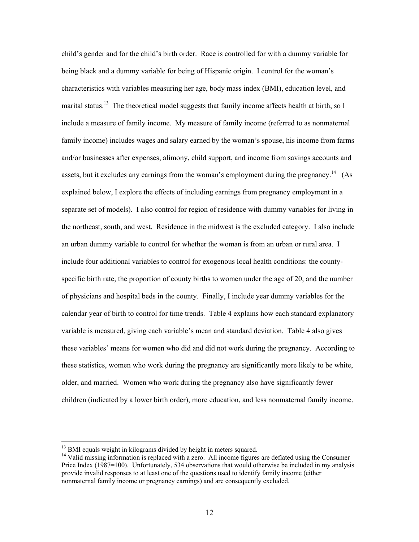child's gender and for the child's birth order. Race is controlled for with a dummy variable for being black and a dummy variable for being of Hispanic origin. I control for the woman's characteristics with variables measuring her age, body mass index (BMI), education level, and marital status.<sup>13</sup> The theoretical model suggests that family income affects health at birth, so I include a measure of family income. My measure of family income (referred to as nonmaternal family income) includes wages and salary earned by the woman's spouse, his income from farms and/or businesses after expenses, alimony, child support, and income from savings accounts and assets, but it excludes any earnings from the woman's employment during the pregnancy.<sup>14</sup> (As explained below, I explore the effects of including earnings from pregnancy employment in a separate set of models). I also control for region of residence with dummy variables for living in the northeast, south, and west. Residence in the midwest is the excluded category. I also include an urban dummy variable to control for whether the woman is from an urban or rural area. I include four additional variables to control for exogenous local health conditions: the countyspecific birth rate, the proportion of county births to women under the age of 20, and the number of physicians and hospital beds in the county. Finally, I include year dummy variables for the calendar year of birth to control for time trends. Table 4 explains how each standard explanatory variable is measured, giving each variable's mean and standard deviation. Table 4 also gives these variables' means for women who did and did not work during the pregnancy. According to these statistics, women who work during the pregnancy are significantly more likely to be white, older, and married. Women who work during the pregnancy also have significantly fewer children (indicated by a lower birth order), more education, and less nonmaternal family income.

<sup>&</sup>lt;sup>13</sup> BMI equals weight in kilograms divided by height in meters squared.

<sup>&</sup>lt;sup>14</sup> Valid missing information is replaced with a zero. All income figures are deflated using the Consumer Price Index (1987=100). Unfortunately, 534 observations that would otherwise be included in my analysis provide invalid responses to at least one of the questions used to identify family income (either nonmaternal family income or pregnancy earnings) and are consequently excluded.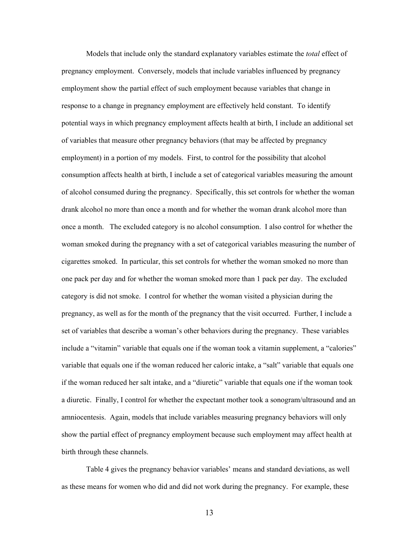Models that include only the standard explanatory variables estimate the *total* effect of pregnancy employment. Conversely, models that include variables influenced by pregnancy employment show the partial effect of such employment because variables that change in response to a change in pregnancy employment are effectively held constant. To identify potential ways in which pregnancy employment affects health at birth, I include an additional set of variables that measure other pregnancy behaviors (that may be affected by pregnancy employment) in a portion of my models. First, to control for the possibility that alcohol consumption affects health at birth, I include a set of categorical variables measuring the amount of alcohol consumed during the pregnancy. Specifically, this set controls for whether the woman drank alcohol no more than once a month and for whether the woman drank alcohol more than once a month. The excluded category is no alcohol consumption. I also control for whether the woman smoked during the pregnancy with a set of categorical variables measuring the number of cigarettes smoked. In particular, this set controls for whether the woman smoked no more than one pack per day and for whether the woman smoked more than 1 pack per day. The excluded category is did not smoke. I control for whether the woman visited a physician during the pregnancy, as well as for the month of the pregnancy that the visit occurred. Further, I include a set of variables that describe a woman's other behaviors during the pregnancy. These variables include a "vitamin" variable that equals one if the woman took a vitamin supplement, a "calories" variable that equals one if the woman reduced her caloric intake, a "salt" variable that equals one if the woman reduced her salt intake, and a "diuretic" variable that equals one if the woman took a diuretic. Finally, I control for whether the expectant mother took a sonogram/ultrasound and an amniocentesis. Again, models that include variables measuring pregnancy behaviors will only show the partial effect of pregnancy employment because such employment may affect health at birth through these channels.

Table 4 gives the pregnancy behavior variables' means and standard deviations, as well as these means for women who did and did not work during the pregnancy. For example, these

13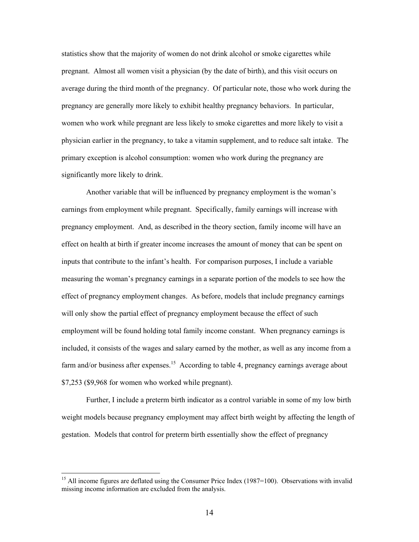statistics show that the majority of women do not drink alcohol or smoke cigarettes while pregnant. Almost all women visit a physician (by the date of birth), and this visit occurs on average during the third month of the pregnancy. Of particular note, those who work during the pregnancy are generally more likely to exhibit healthy pregnancy behaviors. In particular, women who work while pregnant are less likely to smoke cigarettes and more likely to visit a physician earlier in the pregnancy, to take a vitamin supplement, and to reduce salt intake. The primary exception is alcohol consumption: women who work during the pregnancy are significantly more likely to drink.

Another variable that will be influenced by pregnancy employment is the woman's earnings from employment while pregnant. Specifically, family earnings will increase with pregnancy employment. And, as described in the theory section, family income will have an effect on health at birth if greater income increases the amount of money that can be spent on inputs that contribute to the infant's health. For comparison purposes, I include a variable measuring the woman's pregnancy earnings in a separate portion of the models to see how the effect of pregnancy employment changes. As before, models that include pregnancy earnings will only show the partial effect of pregnancy employment because the effect of such employment will be found holding total family income constant. When pregnancy earnings is included, it consists of the wages and salary earned by the mother, as well as any income from a farm and/or business after expenses.<sup>15</sup> According to table 4, pregnancy earnings average about \$7,253 (\$9,968 for women who worked while pregnant).

Further, I include a preterm birth indicator as a control variable in some of my low birth weight models because pregnancy employment may affect birth weight by affecting the length of gestation. Models that control for preterm birth essentially show the effect of pregnancy

<sup>&</sup>lt;sup>15</sup> All income figures are deflated using the Consumer Price Index (1987=100). Observations with invalid missing income information are excluded from the analysis.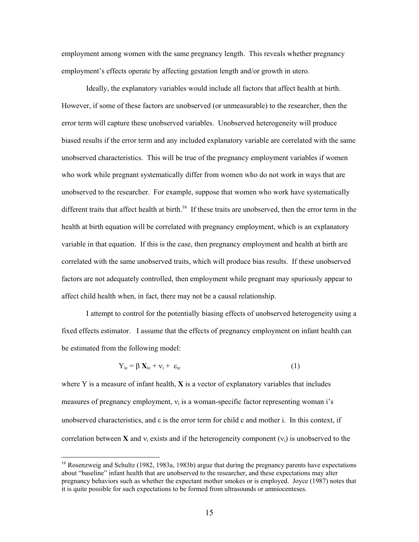employment among women with the same pregnancy length. This reveals whether pregnancy employment's effects operate by affecting gestation length and/or growth in utero.

Ideally, the explanatory variables would include all factors that affect health at birth. However, if some of these factors are unobserved (or unmeasurable) to the researcher, then the error term will capture these unobserved variables. Unobserved heterogeneity will produce biased results if the error term and any included explanatory variable are correlated with the same unobserved characteristics. This will be true of the pregnancy employment variables if women who work while pregnant systematically differ from women who do not work in ways that are unobserved to the researcher. For example, suppose that women who work have systematically different traits that affect health at birth.<sup>16</sup> If these traits are unobserved, then the error term in the health at birth equation will be correlated with pregnancy employment, which is an explanatory variable in that equation. If this is the case, then pregnancy employment and health at birth are correlated with the same unobserved traits, which will produce bias results. If these unobserved factors are not adequately controlled, then employment while pregnant may spuriously appear to affect child health when, in fact, there may not be a causal relationship.

I attempt to control for the potentially biasing effects of unobserved heterogeneity using a fixed effects estimator. I assume that the effects of pregnancy employment on infant health can be estimated from the following model:

$$
Y_{ic} = \beta X_{ic} + v_i + \varepsilon_{ic}
$$
 (1)

where Y is a measure of infant health, **X** is a vector of explanatory variables that includes measures of pregnancy employment,  $v_i$  is a woman-specific factor representing woman i's unobserved characteristics, and ε is the error term for child c and mother i. In this context, if correlation between **X** and  $v_i$  exists and if the heterogeneity component  $(v_i)$  is unobserved to the

 $16$  Rosenzweig and Schultz (1982, 1983a, 1983b) argue that during the pregnancy parents have expectations about "baseline" infant health that are unobserved to the researcher, and these expectations may alter pregnancy behaviors such as whether the expectant mother smokes or is employed. Joyce (1987) notes that it is quite possible for such expectations to be formed from ultrasounds or amniocenteses.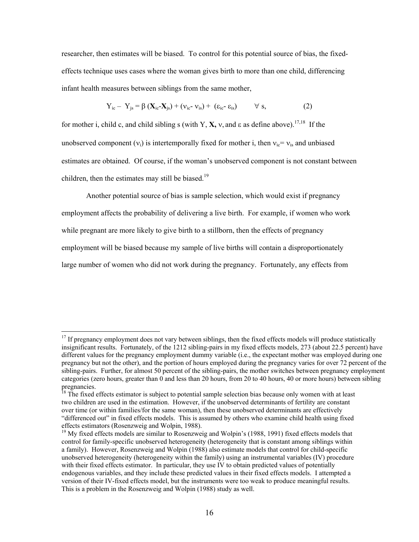researcher, then estimates will be biased. To control for this potential source of bias, the fixedeffects technique uses cases where the woman gives birth to more than one child, differencing infant health measures between siblings from the same mother,

$$
Y_{ic} - Y_{js} = \beta (X_{ic} - X_{js}) + (v_{ic} - v_{is}) + (\varepsilon_{ic} - \varepsilon_{is}) \qquad \forall s,
$$
 (2)

for mother i, child c, and child sibling s (with Y, **X,**  $v$ , and  $\varepsilon$  as define above).<sup>17,18</sup> If the unobserved component  $(v_i)$  is intertemporally fixed for mother i, then  $v_i = v_i$  and unbiased estimates are obtained. Of course, if the woman's unobserved component is not constant between children, then the estimates may still be biased.<sup>19</sup>

Another potential source of bias is sample selection, which would exist if pregnancy

employment affects the probability of delivering a live birth. For example, if women who work

while pregnant are more likely to give birth to a stillborn, then the effects of pregnancy

 $\overline{a}$ 

employment will be biased because my sample of live births will contain a disproportionately

large number of women who did not work during the pregnancy. Fortunately, any effects from

 $17$  If pregnancy employment does not vary between siblings, then the fixed effects models will produce statistically insignificant results. Fortunately, of the 1212 sibling-pairs in my fixed effects models, 273 (about 22.5 percent) have different values for the pregnancy employment dummy variable (i.e., the expectant mother was employed during one pregnancy but not the other), and the portion of hours employed during the pregnancy varies for over 72 percent of the sibling-pairs. Further, for almost 50 percent of the sibling-pairs, the mother switches between pregnancy employment categories (zero hours, greater than 0 and less than 20 hours, from 20 to 40 hours, 40 or more hours) between sibling pregnancies.

<sup>&</sup>lt;sup>18</sup> The fixed effects estimator is subject to potential sample selection bias because only women with at least two children are used in the estimation. However, if the unobserved determinants of fertility are constant over time (or within families/for the same woman), then these unobserved determinants are effectively "differenced out" in fixed effects models. This is assumed by others who examine child health using fixed effects estimators (Rosenzweig and Wolpin, 1988).

<sup>&</sup>lt;sup>19</sup> My fixed effects models are similar to Rosenzweig and Wolpin's (1988, 1991) fixed effects models that control for family-specific unobserved heterogeneity (heterogeneity that is constant among siblings within a family). However, Rosenzweig and Wolpin (1988) also estimate models that control for child-specific unobserved heterogeneity (heterogeneity within the family) using an instrumental variables (IV) procedure with their fixed effects estimator. In particular, they use IV to obtain predicted values of potentially endogenous variables, and they include these predicted values in their fixed effects models. I attempted a version of their IV-fixed effects model, but the instruments were too weak to produce meaningful results. This is a problem in the Rosenzweig and Wolpin (1988) study as well.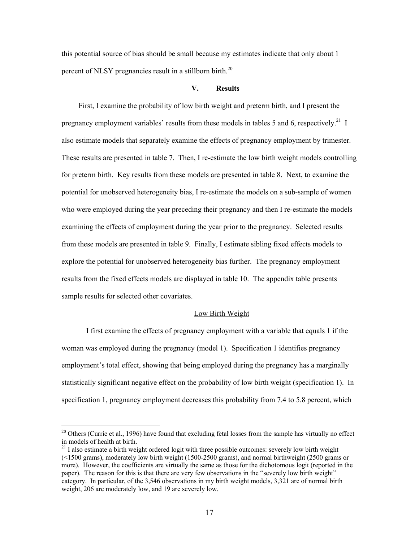this potential source of bias should be small because my estimates indicate that only about 1 percent of NLSY pregnancies result in a stillborn birth.<sup>20</sup>

## **V. Results**

 First, I examine the probability of low birth weight and preterm birth, and I present the pregnancy employment variables' results from these models in tables 5 and 6, respectively.<sup>21</sup> I also estimate models that separately examine the effects of pregnancy employment by trimester. These results are presented in table 7. Then, I re-estimate the low birth weight models controlling for preterm birth. Key results from these models are presented in table 8. Next, to examine the potential for unobserved heterogeneity bias, I re-estimate the models on a sub-sample of women who were employed during the year preceding their pregnancy and then I re-estimate the models examining the effects of employment during the year prior to the pregnancy. Selected results from these models are presented in table 9. Finally, I estimate sibling fixed effects models to explore the potential for unobserved heterogeneity bias further. The pregnancy employment results from the fixed effects models are displayed in table 10. The appendix table presents sample results for selected other covariates.

#### Low Birth Weight

I first examine the effects of pregnancy employment with a variable that equals 1 if the woman was employed during the pregnancy (model 1). Specification 1 identifies pregnancy employment's total effect, showing that being employed during the pregnancy has a marginally statistically significant negative effect on the probability of low birth weight (specification 1). In specification 1, pregnancy employment decreases this probability from 7.4 to 5.8 percent, which

<sup>&</sup>lt;sup>20</sup> Others (Currie et al., 1996) have found that excluding fetal losses from the sample has virtually no effect in models of health at birth.

 $21$  I also estimate a birth weight ordered logit with three possible outcomes: severely low birth weight (<1500 grams), moderately low birth weight (1500-2500 grams), and normal birthweight (2500 grams or more). However, the coefficients are virtually the same as those for the dichotomous logit (reported in the paper). The reason for this is that there are very few observations in the "severely low birth weight" category. In particular, of the 3,546 observations in my birth weight models, 3,321 are of normal birth weight, 206 are moderately low, and 19 are severely low.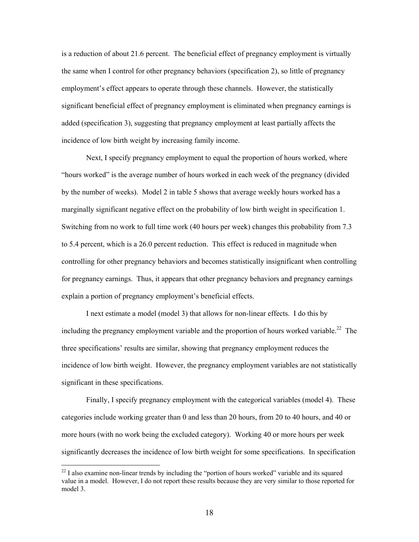is a reduction of about 21.6 percent. The beneficial effect of pregnancy employment is virtually the same when I control for other pregnancy behaviors (specification 2), so little of pregnancy employment's effect appears to operate through these channels. However, the statistically significant beneficial effect of pregnancy employment is eliminated when pregnancy earnings is added (specification 3), suggesting that pregnancy employment at least partially affects the incidence of low birth weight by increasing family income.

Next, I specify pregnancy employment to equal the proportion of hours worked, where "hours worked" is the average number of hours worked in each week of the pregnancy (divided by the number of weeks). Model 2 in table 5 shows that average weekly hours worked has a marginally significant negative effect on the probability of low birth weight in specification 1. Switching from no work to full time work (40 hours per week) changes this probability from 7.3 to 5.4 percent, which is a 26.0 percent reduction. This effect is reduced in magnitude when controlling for other pregnancy behaviors and becomes statistically insignificant when controlling for pregnancy earnings. Thus, it appears that other pregnancy behaviors and pregnancy earnings explain a portion of pregnancy employment's beneficial effects.

I next estimate a model (model 3) that allows for non-linear effects. I do this by including the pregnancy employment variable and the proportion of hours worked variable.<sup>22</sup> The three specifications' results are similar, showing that pregnancy employment reduces the incidence of low birth weight. However, the pregnancy employment variables are not statistically significant in these specifications.

Finally, I specify pregnancy employment with the categorical variables (model 4). These categories include working greater than 0 and less than 20 hours, from 20 to 40 hours, and 40 or more hours (with no work being the excluded category). Working 40 or more hours per week significantly decreases the incidence of low birth weight for some specifications. In specification

 $22$  I also examine non-linear trends by including the "portion of hours worked" variable and its squared value in a model. However, I do not report these results because they are very similar to those reported for model 3.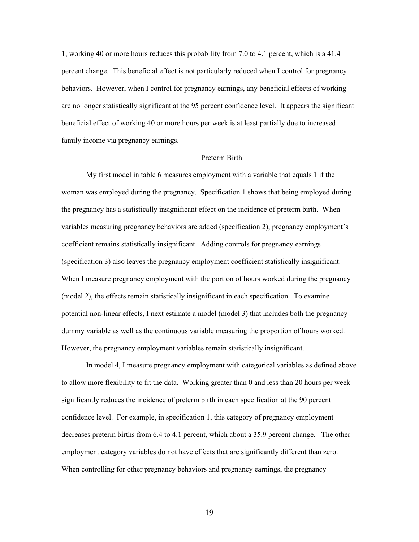1, working 40 or more hours reduces this probability from 7.0 to 4.1 percent, which is a 41.4 percent change. This beneficial effect is not particularly reduced when I control for pregnancy behaviors. However, when I control for pregnancy earnings, any beneficial effects of working are no longer statistically significant at the 95 percent confidence level. It appears the significant beneficial effect of working 40 or more hours per week is at least partially due to increased family income via pregnancy earnings.

## Preterm Birth

My first model in table 6 measures employment with a variable that equals 1 if the woman was employed during the pregnancy. Specification 1 shows that being employed during the pregnancy has a statistically insignificant effect on the incidence of preterm birth. When variables measuring pregnancy behaviors are added (specification 2), pregnancy employment's coefficient remains statistically insignificant. Adding controls for pregnancy earnings (specification 3) also leaves the pregnancy employment coefficient statistically insignificant. When I measure pregnancy employment with the portion of hours worked during the pregnancy (model 2), the effects remain statistically insignificant in each specification. To examine potential non-linear effects, I next estimate a model (model 3) that includes both the pregnancy dummy variable as well as the continuous variable measuring the proportion of hours worked. However, the pregnancy employment variables remain statistically insignificant.

In model 4, I measure pregnancy employment with categorical variables as defined above to allow more flexibility to fit the data. Working greater than 0 and less than 20 hours per week significantly reduces the incidence of preterm birth in each specification at the 90 percent confidence level. For example, in specification 1, this category of pregnancy employment decreases preterm births from 6.4 to 4.1 percent, which about a 35.9 percent change. The other employment category variables do not have effects that are significantly different than zero. When controlling for other pregnancy behaviors and pregnancy earnings, the pregnancy

19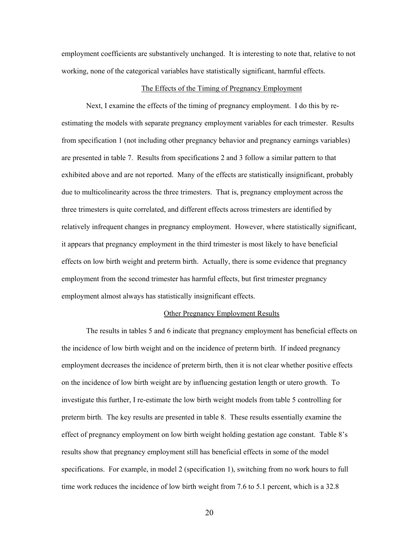employment coefficients are substantively unchanged. It is interesting to note that, relative to not working, none of the categorical variables have statistically significant, harmful effects.

#### The Effects of the Timing of Pregnancy Employment

Next, I examine the effects of the timing of pregnancy employment. I do this by reestimating the models with separate pregnancy employment variables for each trimester. Results from specification 1 (not including other pregnancy behavior and pregnancy earnings variables) are presented in table 7. Results from specifications 2 and 3 follow a similar pattern to that exhibited above and are not reported. Many of the effects are statistically insignificant, probably due to multicolinearity across the three trimesters. That is, pregnancy employment across the three trimesters is quite correlated, and different effects across trimesters are identified by relatively infrequent changes in pregnancy employment. However, where statistically significant, it appears that pregnancy employment in the third trimester is most likely to have beneficial effects on low birth weight and preterm birth. Actually, there is some evidence that pregnancy employment from the second trimester has harmful effects, but first trimester pregnancy employment almost always has statistically insignificant effects.

#### Other Pregnancy Employment Results

The results in tables 5 and 6 indicate that pregnancy employment has beneficial effects on the incidence of low birth weight and on the incidence of preterm birth. If indeed pregnancy employment decreases the incidence of preterm birth, then it is not clear whether positive effects on the incidence of low birth weight are by influencing gestation length or utero growth. To investigate this further, I re-estimate the low birth weight models from table 5 controlling for preterm birth. The key results are presented in table 8. These results essentially examine the effect of pregnancy employment on low birth weight holding gestation age constant. Table 8's results show that pregnancy employment still has beneficial effects in some of the model specifications. For example, in model 2 (specification 1), switching from no work hours to full time work reduces the incidence of low birth weight from 7.6 to 5.1 percent, which is a 32.8

20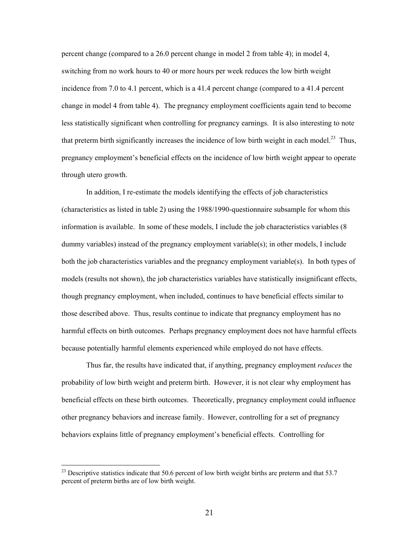percent change (compared to a 26.0 percent change in model 2 from table 4); in model 4, switching from no work hours to 40 or more hours per week reduces the low birth weight incidence from 7.0 to 4.1 percent, which is a 41.4 percent change (compared to a 41.4 percent change in model 4 from table 4). The pregnancy employment coefficients again tend to become less statistically significant when controlling for pregnancy earnings. It is also interesting to note that preterm birth significantly increases the incidence of low birth weight in each model.<sup>23</sup> Thus, pregnancy employment's beneficial effects on the incidence of low birth weight appear to operate through utero growth.

In addition, I re-estimate the models identifying the effects of job characteristics (characteristics as listed in table 2) using the 1988/1990-questionnaire subsample for whom this information is available. In some of these models, I include the job characteristics variables (8 dummy variables) instead of the pregnancy employment variable(s); in other models, I include both the job characteristics variables and the pregnancy employment variable(s). In both types of models (results not shown), the job characteristics variables have statistically insignificant effects, though pregnancy employment, when included, continues to have beneficial effects similar to those described above. Thus, results continue to indicate that pregnancy employment has no harmful effects on birth outcomes. Perhaps pregnancy employment does not have harmful effects because potentially harmful elements experienced while employed do not have effects.

Thus far, the results have indicated that, if anything, pregnancy employment *reduces* the probability of low birth weight and preterm birth. However, it is not clear why employment has beneficial effects on these birth outcomes. Theoretically, pregnancy employment could influence other pregnancy behaviors and increase family. However, controlling for a set of pregnancy behaviors explains little of pregnancy employment's beneficial effects. Controlling for

 $^{23}$  Descriptive statistics indicate that 50.6 percent of low birth weight births are preterm and that 53.7 percent of preterm births are of low birth weight.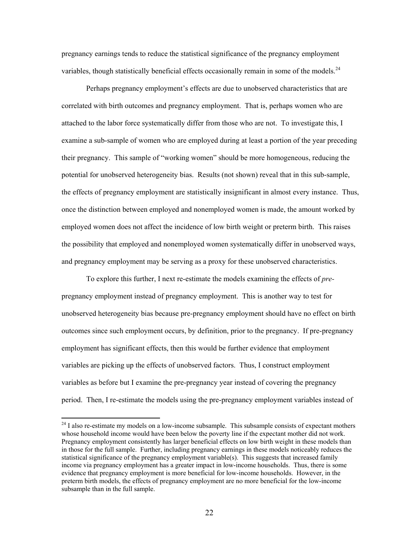pregnancy earnings tends to reduce the statistical significance of the pregnancy employment variables, though statistically beneficial effects occasionally remain in some of the models. $^{24}$ 

Perhaps pregnancy employment's effects are due to unobserved characteristics that are correlated with birth outcomes and pregnancy employment. That is, perhaps women who are attached to the labor force systematically differ from those who are not. To investigate this, I examine a sub-sample of women who are employed during at least a portion of the year preceding their pregnancy. This sample of "working women" should be more homogeneous, reducing the potential for unobserved heterogeneity bias. Results (not shown) reveal that in this sub-sample, the effects of pregnancy employment are statistically insignificant in almost every instance. Thus, once the distinction between employed and nonemployed women is made, the amount worked by employed women does not affect the incidence of low birth weight or preterm birth. This raises the possibility that employed and nonemployed women systematically differ in unobserved ways, and pregnancy employment may be serving as a proxy for these unobserved characteristics.

To explore this further, I next re-estimate the models examining the effects of *pre*pregnancy employment instead of pregnancy employment. This is another way to test for unobserved heterogeneity bias because pre-pregnancy employment should have no effect on birth outcomes since such employment occurs, by definition, prior to the pregnancy. If pre-pregnancy employment has significant effects, then this would be further evidence that employment variables are picking up the effects of unobserved factors. Thus, I construct employment variables as before but I examine the pre-pregnancy year instead of covering the pregnancy period. Then, I re-estimate the models using the pre-pregnancy employment variables instead of

<sup>&</sup>lt;sup>24</sup> I also re-estimate my models on a low-income subsample. This subsample consists of expectant mothers whose household income would have been below the poverty line if the expectant mother did not work. Pregnancy employment consistently has larger beneficial effects on low birth weight in these models than in those for the full sample. Further, including pregnancy earnings in these models noticeably reduces the statistical significance of the pregnancy employment variable(s). This suggests that increased family income via pregnancy employment has a greater impact in low-income households. Thus, there is some evidence that pregnancy employment is more beneficial for low-income households. However, in the preterm birth models, the effects of pregnancy employment are no more beneficial for the low-income subsample than in the full sample.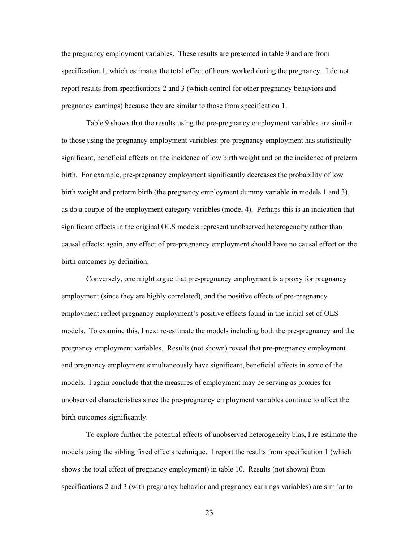the pregnancy employment variables. These results are presented in table 9 and are from specification 1, which estimates the total effect of hours worked during the pregnancy. I do not report results from specifications 2 and 3 (which control for other pregnancy behaviors and pregnancy earnings) because they are similar to those from specification 1.

Table 9 shows that the results using the pre-pregnancy employment variables are similar to those using the pregnancy employment variables: pre-pregnancy employment has statistically significant, beneficial effects on the incidence of low birth weight and on the incidence of preterm birth. For example, pre-pregnancy employment significantly decreases the probability of low birth weight and preterm birth (the pregnancy employment dummy variable in models 1 and 3), as do a couple of the employment category variables (model 4). Perhaps this is an indication that significant effects in the original OLS models represent unobserved heterogeneity rather than causal effects: again, any effect of pre-pregnancy employment should have no causal effect on the birth outcomes by definition.

Conversely, one might argue that pre-pregnancy employment is a proxy for pregnancy employment (since they are highly correlated), and the positive effects of pre-pregnancy employment reflect pregnancy employment's positive effects found in the initial set of OLS models. To examine this, I next re-estimate the models including both the pre-pregnancy and the pregnancy employment variables. Results (not shown) reveal that pre-pregnancy employment and pregnancy employment simultaneously have significant, beneficial effects in some of the models. I again conclude that the measures of employment may be serving as proxies for unobserved characteristics since the pre-pregnancy employment variables continue to affect the birth outcomes significantly.

To explore further the potential effects of unobserved heterogeneity bias, I re-estimate the models using the sibling fixed effects technique. I report the results from specification 1 (which shows the total effect of pregnancy employment) in table 10. Results (not shown) from specifications 2 and 3 (with pregnancy behavior and pregnancy earnings variables) are similar to

23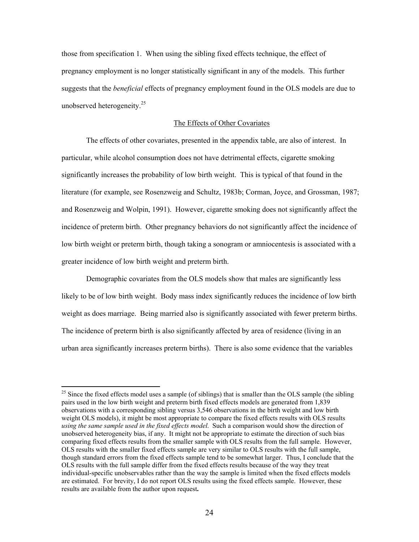those from specification 1. When using the sibling fixed effects technique, the effect of pregnancy employment is no longer statistically significant in any of the models. This further suggests that the *beneficial* effects of pregnancy employment found in the OLS models are due to unobserved heterogeneity.<sup>25</sup>

### The Effects of Other Covariates

 The effects of other covariates, presented in the appendix table, are also of interest. In particular, while alcohol consumption does not have detrimental effects, cigarette smoking significantly increases the probability of low birth weight. This is typical of that found in the literature (for example, see Rosenzweig and Schultz, 1983b; Corman, Joyce, and Grossman, 1987; and Rosenzweig and Wolpin, 1991). However, cigarette smoking does not significantly affect the incidence of preterm birth. Other pregnancy behaviors do not significantly affect the incidence of low birth weight or preterm birth, though taking a sonogram or amniocentesis is associated with a greater incidence of low birth weight and preterm birth.

 Demographic covariates from the OLS models show that males are significantly less likely to be of low birth weight. Body mass index significantly reduces the incidence of low birth weight as does marriage. Being married also is significantly associated with fewer preterm births. The incidence of preterm birth is also significantly affected by area of residence (living in an urban area significantly increases preterm births). There is also some evidence that the variables

 $25$  Since the fixed effects model uses a sample (of siblings) that is smaller than the OLS sample (the sibling pairs used in the low birth weight and preterm birth fixed effects models are generated from 1,839 observations with a corresponding sibling versus 3,546 observations in the birth weight and low birth weight OLS models), it might be most appropriate to compare the fixed effects results with OLS results *using the same sample used in the fixed effects model*. Such a comparison would show the direction of unobserved heterogeneity bias, if any. It might not be appropriate to estimate the direction of such bias comparing fixed effects results from the smaller sample with OLS results from the full sample. However, OLS results with the smaller fixed effects sample are very similar to OLS results with the full sample, though standard errors from the fixed effects sample tend to be somewhat larger. Thus, I conclude that the OLS results with the full sample differ from the fixed effects results because of the way they treat individual-specific unobservables rather than the way the sample is limited when the fixed effects models are estimated. For brevity, I do not report OLS results using the fixed effects sample. However, these results are available from the author upon request**.**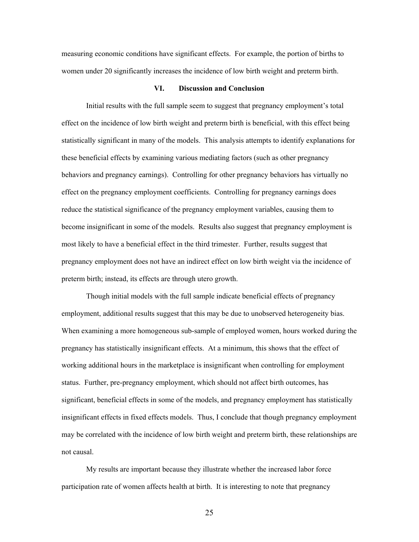measuring economic conditions have significant effects. For example, the portion of births to women under 20 significantly increases the incidence of low birth weight and preterm birth.

### **VI. Discussion and Conclusion**

Initial results with the full sample seem to suggest that pregnancy employment's total effect on the incidence of low birth weight and preterm birth is beneficial, with this effect being statistically significant in many of the models. This analysis attempts to identify explanations for these beneficial effects by examining various mediating factors (such as other pregnancy behaviors and pregnancy earnings). Controlling for other pregnancy behaviors has virtually no effect on the pregnancy employment coefficients. Controlling for pregnancy earnings does reduce the statistical significance of the pregnancy employment variables, causing them to become insignificant in some of the models. Results also suggest that pregnancy employment is most likely to have a beneficial effect in the third trimester. Further, results suggest that pregnancy employment does not have an indirect effect on low birth weight via the incidence of preterm birth; instead, its effects are through utero growth.

Though initial models with the full sample indicate beneficial effects of pregnancy employment, additional results suggest that this may be due to unobserved heterogeneity bias. When examining a more homogeneous sub-sample of employed women, hours worked during the pregnancy has statistically insignificant effects. At a minimum, this shows that the effect of working additional hours in the marketplace is insignificant when controlling for employment status. Further, pre-pregnancy employment, which should not affect birth outcomes, has significant, beneficial effects in some of the models, and pregnancy employment has statistically insignificant effects in fixed effects models. Thus, I conclude that though pregnancy employment may be correlated with the incidence of low birth weight and preterm birth, these relationships are not causal.

My results are important because they illustrate whether the increased labor force participation rate of women affects health at birth. It is interesting to note that pregnancy

25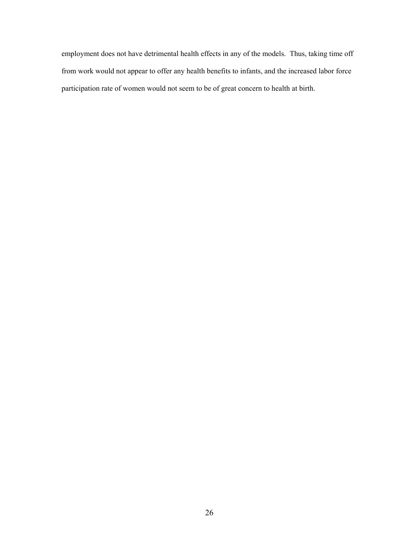employment does not have detrimental health effects in any of the models. Thus, taking time off from work would not appear to offer any health benefits to infants, and the increased labor force participation rate of women would not seem to be of great concern to health at birth.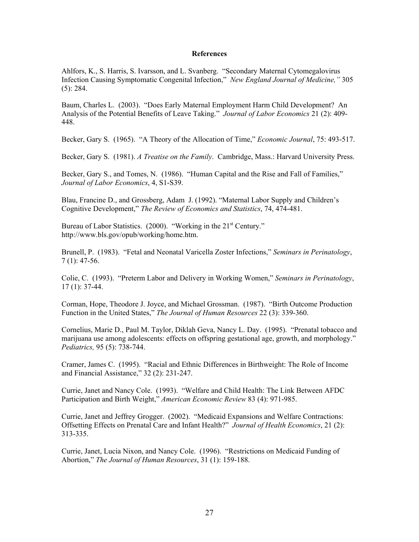#### **References**

Ahlfors, K., S. Harris, S. Ivarsson, and L. Svanberg. "Secondary Maternal Cytomegalovirus Infection Causing Symptomatic Congenital Infection," *New England Journal of Medicine,"* 305  $(5)$ : 284.

Baum, Charles L. (2003). "Does Early Maternal Employment Harm Child Development? An Analysis of the Potential Benefits of Leave Taking." *Journal of Labor Economics* 21 (2): 409- 448.

Becker, Gary S. (1965). "A Theory of the Allocation of Time," *Economic Journal*, 75: 493-517.

Becker, Gary S. (1981). *A Treatise on the Family*. Cambridge, Mass.: Harvard University Press.

Becker, Gary S., and Tomes, N. (1986). "Human Capital and the Rise and Fall of Families," *Journal of Labor Economics*, 4, S1-S39.

Blau, Francine D., and Grossberg, Adam J. (1992). "Maternal Labor Supply and Children's Cognitive Development," *The Review of Economics and Statistics*, 74, 474-481.

Bureau of Labor Statistics. (2000). "Working in the 21<sup>st</sup> Century." http://www.bls.gov/opub/working/home.htm.

Brunell, P. (1983). "Fetal and Neonatal Varicella Zoster Infections," *Seminars in Perinatology*, 7 (1): 47-56.

Colie, C. (1993). "Preterm Labor and Delivery in Working Women," *Seminars in Perinatology*, 17 (1): 37-44.

Corman, Hope, Theodore J. Joyce, and Michael Grossman. (1987). "Birth Outcome Production Function in the United States," *The Journal of Human Resources* 22 (3): 339-360.

Cornelius, Marie D., Paul M. Taylor, Diklah Geva, Nancy L. Day. (1995). "Prenatal tobacco and marijuana use among adolescents: effects on offspring gestational age, growth, and morphology." *Pediatrics,* 95 (5): 738-744.

Cramer, James C. (1995). "Racial and Ethnic Differences in Birthweight: The Role of Income and Financial Assistance," 32 (2): 231-247.

Currie, Janet and Nancy Cole. (1993). "Welfare and Child Health: The Link Between AFDC Participation and Birth Weight," *American Economic Review* 83 (4): 971-985.

Currie, Janet and Jeffrey Grogger. (2002). "Medicaid Expansions and Welfare Contractions: Offsetting Effects on Prenatal Care and Infant Health?" *Journal of Health Economics*, 21 (2): 313-335.

Currie, Janet, Lucia Nixon, and Nancy Cole. (1996). "Restrictions on Medicaid Funding of Abortion," *The Journal of Human Resources*, 31 (1): 159-188.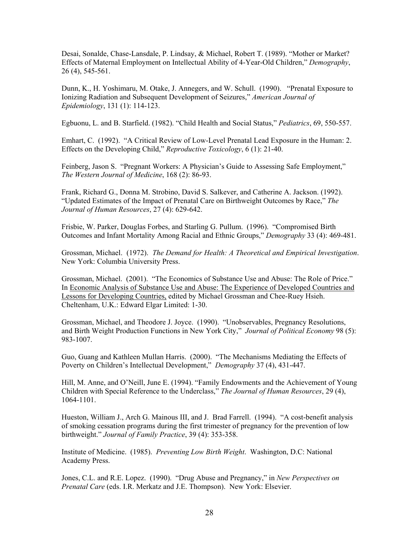Desai, Sonalde, Chase-Lansdale, P. Lindsay, & Michael, Robert T. (1989). "Mother or Market? Effects of Maternal Employment on Intellectual Ability of 4-Year-Old Children," *Demography*, 26 (4), 545-561.

Dunn, K., H. Yoshimaru, M. Otake, J. Annegers, and W. Schull. (1990). "Prenatal Exposure to Ionizing Radiation and Subsequent Development of Seizures," *American Journal of Epidemiology*, 131 (1): 114-123.

Egbuonu, L. and B. Starfield. (1982). "Child Health and Social Status," *Pediatrics*, 69, 550-557.

Emhart, C. (1992). "A Critical Review of Low-Level Prenatal Lead Exposure in the Human: 2. Effects on the Developing Child," *Reproductive Toxicology*, 6 (1): 21-40.

Feinberg, Jason S. "Pregnant Workers: A Physician's Guide to Assessing Safe Employment," *The Western Journal of Medicine*, 168 (2): 86-93.

Frank, Richard G., Donna M. Strobino, David S. Salkever, and Catherine A. Jackson. (1992). "Updated Estimates of the Impact of Prenatal Care on Birthweight Outcomes by Race," *The Journal of Human Resources*, 27 (4): 629-642.

Frisbie, W. Parker, Douglas Forbes, and Starling G. Pullum. (1996). "Compromised Birth Outcomes and Infant Mortality Among Racial and Ethnic Groups," *Demography* 33 (4): 469-481.

Grossman, Michael. (1972). *The Demand for Health: A Theoretical and Empirical Investigation*. New York: Columbia University Press.

Grossman, Michael. (2001). "The Economics of Substance Use and Abuse: The Role of Price." In Economic Analysis of Substance Use and Abuse: The Experience of Developed Countries and Lessons for Developing Countries, edited by Michael Grossman and Chee-Ruey Hsieh. Cheltenham, U.K.: Edward Elgar Limited: 1-30.

Grossman, Michael, and Theodore J. Joyce. (1990). "Unobservables, Pregnancy Resolutions, and Birth Weight Production Functions in New York City," *Journal of Political Economy* 98 (5): 983-1007.

Guo, Guang and Kathleen Mullan Harris. (2000). "The Mechanisms Mediating the Effects of Poverty on Children's Intellectual Development," *Demography* 37 (4), 431-447.

Hill, M. Anne, and O'Neill, June E. (1994). "Family Endowments and the Achievement of Young Children with Special Reference to the Underclass," *The Journal of Human Resources*, 29 (4), 1064-1101.

Hueston, William J., Arch G. Mainous III, and J. Brad Farrell. (1994). "A cost-benefit analysis of smoking cessation programs during the first trimester of pregnancy for the prevention of low birthweight." *Journal of Family Practice*, 39 (4): 353-358.

Institute of Medicine. (1985). *Preventing Low Birth Weight*. Washington, D.C: National Academy Press.

Jones, C.L. and R.E. Lopez. (1990). "Drug Abuse and Pregnancy," in *New Perspectives on Prenatal Care* (eds. I.R. Merkatz and J.E. Thompson). New York: Elsevier.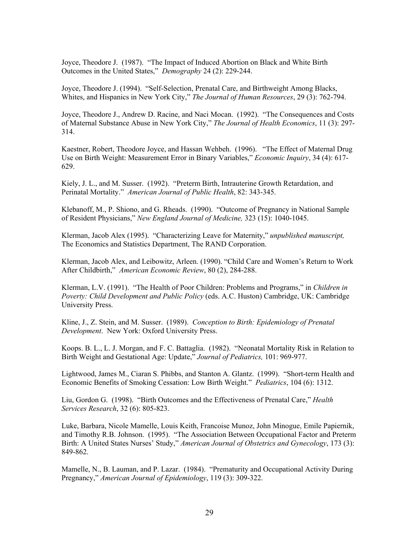Joyce, Theodore J. (1987). "The Impact of Induced Abortion on Black and White Birth Outcomes in the United States," *Demography* 24 (2): 229-244.

Joyce, Theodore J. (1994). "Self-Selection, Prenatal Care, and Birthweight Among Blacks, Whites, and Hispanics in New York City," *The Journal of Human Resources*, 29 (3): 762-794.

Joyce, Theodore J., Andrew D. Racine, and Naci Mocan. (1992). "The Consequences and Costs of Maternal Substance Abuse in New York City," *The Journal of Health Economics*, 11 (3): 297- 314.

Kaestner, Robert, Theodore Joyce, and Hassan Wehbeh. (1996). "The Effect of Maternal Drug Use on Birth Weight: Measurement Error in Binary Variables," *Economic Inquiry*, 34 (4): 617- 629.

Kiely, J. L., and M. Susser. (1992). "Preterm Birth, Intrauterine Growth Retardation, and Perinatal Mortality." *American Journal of Public Health*, 82: 343-345.

Klebanoff, M., P. Shiono, and G. Rheads. (1990). "Outcome of Pregnancy in National Sample of Resident Physicians," *New England Journal of Medicine,* 323 (15): 1040-1045.

Klerman, Jacob Alex (1995). "Characterizing Leave for Maternity," *unpublished manuscript,*  The Economics and Statistics Department, The RAND Corporation.

Klerman, Jacob Alex, and Leibowitz, Arleen. (1990). "Child Care and Women's Return to Work After Childbirth," *American Economic Review*, 80 (2), 284-288.

Klerman, L.V. (1991). "The Health of Poor Children: Problems and Programs," in *Children in Poverty: Child Development and Public Policy* (eds. A.C. Huston) Cambridge, UK: Cambridge University Press.

Kline, J., Z. Stein, and M. Susser. (1989). *Conception to Birth: Epidemiology of Prenatal Development*. New York: Oxford University Press.

Koops. B. L., L. J. Morgan, and F. C. Battaglia. (1982). "Neonatal Mortality Risk in Relation to Birth Weight and Gestational Age: Update," *Journal of Pediatrics,* 101: 969-977.

Lightwood, James M., Ciaran S. Phibbs, and Stanton A. Glantz. (1999). "Short-term Health and Economic Benefits of Smoking Cessation: Low Birth Weight." *Pediatrics*, 104 (6): 1312.

Liu, Gordon G. (1998). "Birth Outcomes and the Effectiveness of Prenatal Care," *Health Services Research*, 32 (6): 805-823.

Luke, Barbara, Nicole Mamelle, Louis Keith, Francoise Munoz, John Minogue, Emile Papiernik, and Timothy R.B. Johnson. (1995). "The Association Between Occupational Factor and Preterm Birth: A United States Nurses' Study," *American Journal of Obstetrics and Gynecology*, 173 (3): 849-862.

Mamelle, N., B. Lauman, and P. Lazar. (1984). "Prematurity and Occupational Activity During Pregnancy," *American Journal of Epidemiology*, 119 (3): 309-322.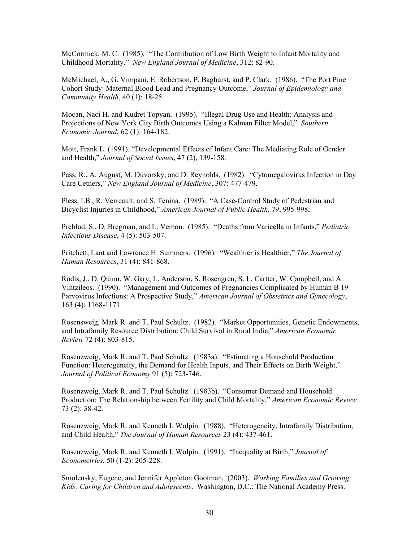McCormick, M. C. (1985). "The Contribution of Low Birth Weight to Infant Mortality and Childhood Mortality." *New England Journal of Medicine*, 312: 82-90.

McMichael, A., G. Vimpani, E. Robertson, P. Baghurst, and P. Clark. (1986). "The Port Pine Cohort Study: Maternal Blood Lead and Pregnancy Outcome," *Journal of Epidemiology and Community Health*, 40 (1): 18-25.

Mocan, Naci H. and Kudret Topyan. (1995). "Illegal Drug Use and Health: Analysis and Projections of New York City Birth Outcomes Using a Kalman Filter Model," *Southern Economic Journal*, 62 (1): 164-182.

Mott, Frank L. (1991). "Developmental Effects of Infant Care: The Mediating Role of Gender and Health," *Journal of Social Issues*, 47 (2), 139-158.

Pass, R., A. August, M. Duvorsky, and D. Reynolds. (1982). "Cytomegalovirus Infection in Day Care Cetners," *New England Journal of Medicine*, 307: 477-479.

Pless, I.B., R. Verreault, and S. Tenina. (1989). "A Case-Control Study of Pedestrian and Bicyclist Injuries in Childhood," *American Journal of Public Health*, 79, 995-998;

Preblud, S., D. Bregman, and L. Vemon. (1985). "Deaths from Varicella in Infants," *Pediatric Infectious Disease*, 4 (5): 503-507.

Pritchett, Lant and Lawrence H. Summers. (1996). "Wealthier is Healthier," *The Journal of Human Resources*, 31 (4): 841-868.

Rodis, J., D. Quinn, W. Gary, L. Anderson, S. Rosengren, S. L. Cartter, W. Campbell, and A. Vintzileos. (1990). "Management and Outcomes of Pregnancies Complicated by Human B 19 Parvovirus Infections: A Prospective Study," *American Journal of Obstetrics and Gynecology*, 163 (4): 1168-1171.

Rosensweig, Mark R. and T. Paul Schultz. (1982). "Market Opportunities, Genetic Endowments, and Intrafamily Resource Distribution: Child Survival in Rural India," *American Economic Review* 72 (4): 803-815.

Rosenzweig, Mark R. and T. Paul Schultz. (1983a). "Estimating a Household Production Function: Heterogeneity, the Demand for Health Inputs, and Their Effects on Birth Weight," *Journal of Political Economy* 91 (5): 723-746.

Rosenzweig, Mark R. and T. Paul Schultz. (1983b). "Consumer Demand and Household Production: The Relationship between Fertility and Child Mortality," *American Economic Review* 73 (2): 38-42.

Rosenzweig, Mark R. and Kenneth I. Wolpin. (1988). "Heterogeneity, Intrafamily Distribution, and Child Health," *The Journal of Human Resources* 23 (4): 437-461.

Rosenzweig, Mark R. and Kenneth I. Wolpin. (1991). "Inequality at Birth," *Journal of Econometrics*, 50 (1-2): 205-228.

Smolensky, Eugene, and Jennifer Appleton Gootman. (2003). *Working Families and Growing Kids: Caring for Children and Adolescents*. Washington, D.C.: The National Academy Press.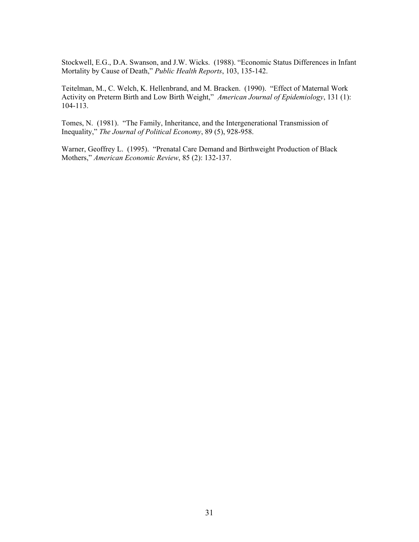Stockwell, E.G., D.A. Swanson, and J.W. Wicks. (1988). "Economic Status Differences in Infant Mortality by Cause of Death," *Public Health Reports*, 103, 135-142.

Teitelman, M., C. Welch, K. Hellenbrand, and M. Bracken. (1990). "Effect of Maternal Work Activity on Preterm Birth and Low Birth Weight," *American Journal of Epidemiology*, 131 (1): 104-113.

Tomes, N. (1981). "The Family, Inheritance, and the Intergenerational Transmission of Inequality," *The Journal of Political Economy*, 89 (5), 928-958.

Warner, Geoffrey L. (1995). "Prenatal Care Demand and Birthweight Production of Black Mothers," *American Economic Review*, 85 (2): 132-137.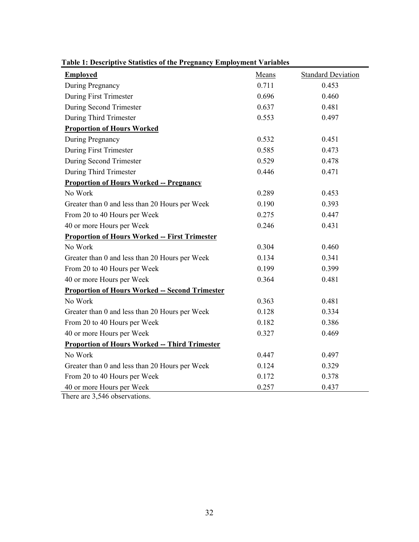| abie 11 Beseriptive Statistics of the Fregmancy<br><b>Employed</b> | <b>Means</b> | <b>Standard Deviation</b> |
|--------------------------------------------------------------------|--------------|---------------------------|
| During Pregnancy                                                   | 0.711        | 0.453                     |
| During First Trimester                                             | 0.696        | 0.460                     |
| During Second Trimester                                            | 0.637        | 0.481                     |
| During Third Trimester                                             | 0.553        | 0.497                     |
| <b>Proportion of Hours Worked</b>                                  |              |                           |
| During Pregnancy                                                   | 0.532        | 0.451                     |
| During First Trimester                                             | 0.585        | 0.473                     |
| During Second Trimester                                            | 0.529        | 0.478                     |
| During Third Trimester                                             | 0.446        | 0.471                     |
| <b>Proportion of Hours Worked -- Pregnancy</b>                     |              |                           |
| No Work                                                            | 0.289        | 0.453                     |
| Greater than 0 and less than 20 Hours per Week                     | 0.190        | 0.393                     |
| From 20 to 40 Hours per Week                                       | 0.275        | 0.447                     |
| 40 or more Hours per Week                                          | 0.246        | 0.431                     |
| <b>Proportion of Hours Worked -- First Trimester</b>               |              |                           |
| No Work                                                            | 0.304        | 0.460                     |
| Greater than 0 and less than 20 Hours per Week                     | 0.134        | 0.341                     |
| From 20 to 40 Hours per Week                                       | 0.199        | 0.399                     |
| 40 or more Hours per Week                                          | 0.364        | 0.481                     |
| <b>Proportion of Hours Worked -- Second Trimester</b>              |              |                           |
| No Work                                                            | 0.363        | 0.481                     |
| Greater than 0 and less than 20 Hours per Week                     | 0.128        | 0.334                     |
| From 20 to 40 Hours per Week                                       | 0.182        | 0.386                     |
| 40 or more Hours per Week                                          | 0.327        | 0.469                     |
| <b>Proportion of Hours Worked -- Third Trimester</b>               |              |                           |
| No Work                                                            | 0.447        | 0.497                     |
| Greater than 0 and less than 20 Hours per Week                     | 0.124        | 0.329                     |
| From 20 to 40 Hours per Week                                       | 0.172        | 0.378                     |
| 40 or more Hours per Week                                          | 0.257        | 0.437                     |

# **Table 1: Descriptive Statistics of the Pregnancy Employment Variables**

There are 3,546 observations.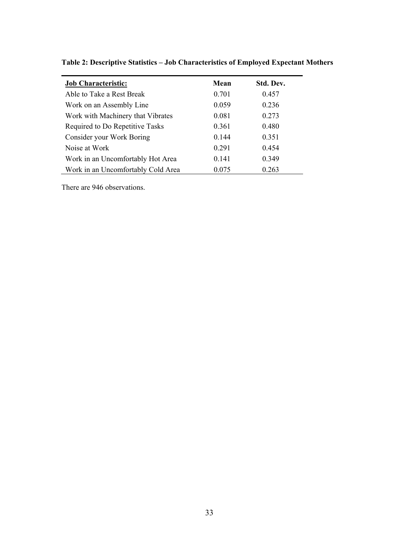| <b>Job Characteristic:</b>         | Mean  | Std. Dev. |
|------------------------------------|-------|-----------|
| Able to Take a Rest Break          | 0.701 | 0.457     |
| Work on an Assembly Line           | 0.059 | 0.236     |
| Work with Machinery that Vibrates  | 0.081 | 0.273     |
| Required to Do Repetitive Tasks    | 0.361 | 0.480     |
| Consider your Work Boring          | 0.144 | 0.351     |
| Noise at Work                      | 0.291 | 0.454     |
| Work in an Uncomfortably Hot Area  | 0.141 | 0.349     |
| Work in an Uncomfortably Cold Area | 0.075 | 0.263     |

**Table 2: Descriptive Statistics – Job Characteristics of Employed Expectant Mothers** 

There are 946 observations.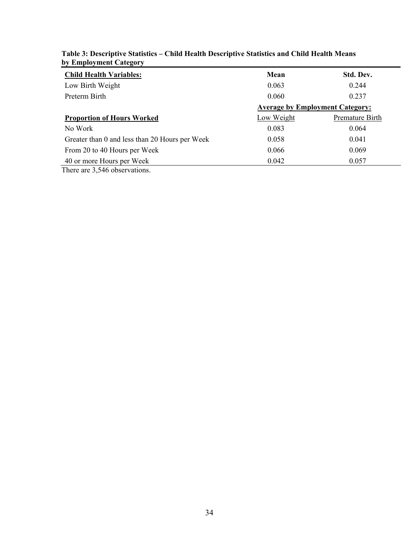| $\sim$                                         |                                        |                 |  |  |  |
|------------------------------------------------|----------------------------------------|-----------------|--|--|--|
| <b>Child Health Variables:</b>                 | Mean                                   | Std. Dev.       |  |  |  |
| Low Birth Weight                               | 0.063                                  | 0.244           |  |  |  |
| Preterm Birth                                  | 0.060                                  | 0.237           |  |  |  |
|                                                | <b>Average by Employment Category:</b> |                 |  |  |  |
| <b>Proportion of Hours Worked</b>              | Low Weight                             | Premature Birth |  |  |  |
| No Work                                        | 0.083                                  | 0.064           |  |  |  |
| Greater than 0 and less than 20 Hours per Week | 0.058                                  | 0.041           |  |  |  |
| From 20 to 40 Hours per Week                   | 0.066                                  | 0.069           |  |  |  |
| 40 or more Hours per Week                      | 0.042                                  | 0.057           |  |  |  |
| $\sim$ $\sim$ $\sim$ $\sim$                    |                                        |                 |  |  |  |

# **Table 3: Descriptive Statistics – Child Health Descriptive Statistics and Child Health Means by Employment Category**

There are 3,546 observations.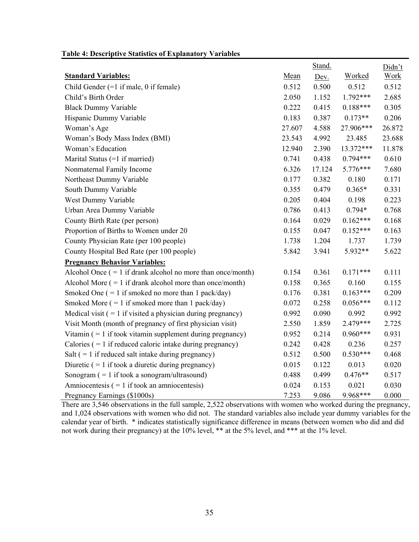## **Table 4: Descriptive Statistics of Explanatory Variables**

|                                                                |        | Stand. |               | Didn't      |
|----------------------------------------------------------------|--------|--------|---------------|-------------|
| <b>Standard Variables:</b>                                     | Mean   | Dev.   | <b>Worked</b> | <b>Work</b> |
| Child Gender $(=1$ if male, 0 if female)                       | 0.512  | 0.500  | 0.512         | 0.512       |
| Child's Birth Order                                            | 2.050  | 1.152  | 1.792***      | 2.685       |
| <b>Black Dummy Variable</b>                                    | 0.222  | 0.415  | $0.188***$    | 0.305       |
| Hispanic Dummy Variable                                        | 0.183  | 0.387  | $0.173**$     | 0.206       |
| Woman's Age                                                    | 27.607 | 4.588  | 27.906***     | 26.872      |
| Woman's Body Mass Index (BMI)                                  | 23.543 | 4.992  | 23.485        | 23.688      |
| Woman's Education                                              | 12.940 | 2.390  | 13.372***     | 11.878      |
| Marital Status (=1 if married)                                 | 0.741  | 0.438  | $0.794***$    | 0.610       |
| Nonmaternal Family Income                                      | 6.326  | 17.124 | 5.776***      | 7.680       |
| Northeast Dummy Variable                                       | 0.177  | 0.382  | 0.180         | 0.171       |
| South Dummy Variable                                           | 0.355  | 0.479  | $0.365*$      | 0.331       |
| West Dummy Variable                                            | 0.205  | 0.404  | 0.198         | 0.223       |
| Urban Area Dummy Variable                                      | 0.786  | 0.413  | $0.794*$      | 0.768       |
| County Birth Rate (per person)                                 | 0.164  | 0.029  | $0.162***$    | 0.168       |
| Proportion of Births to Women under 20                         | 0.155  | 0.047  | $0.152***$    | 0.163       |
| County Physician Rate (per 100 people)                         | 1.738  | 1.204  | 1.737         | 1.739       |
| County Hospital Bed Rate (per 100 people)                      | 5.842  | 3.941  | 5.932**       | 5.622       |
| <b>Pregnancy Behavior Variables:</b>                           |        |        |               |             |
| Alcohol Once $(= 1$ if drank alcohol no more than once/month)  | 0.154  | 0.361  | $0.171***$    | 0.111       |
| Alcohol More $( = 1$ if drank alcohol more than once/month)    | 0.158  | 0.365  | 0.160         | 0.155       |
| Smoked One $( = 1$ if smoked no more than 1 pack/day)          | 0.176  | 0.381  | $0.163***$    | 0.209       |
| Smoked More $( = 1$ if smoked more than 1 pack/day)            | 0.072  | 0.258  | $0.056***$    | 0.112       |
| Medical visit $( = 1$ if visited a physician during pregnancy) | 0.992  | 0.090  | 0.992         | 0.992       |
| Visit Month (month of pregnancy of first physician visit)      | 2.550  | 1.859  | 2.479***      | 2.725       |
| Vitamin $( = 1$ if took vitamin supplement during pregnancy)   | 0.952  | 0.214  | $0.960***$    | 0.931       |
| Calories $( = 1$ if reduced caloric intake during pregnancy)   | 0.242  | 0.428  | 0.236         | 0.257       |
| Salt $( = 1$ if reduced salt intake during pregnancy)          | 0.512  | 0.500  | $0.530***$    | 0.468       |
| Diuretic $( = 1$ if took a diuretic during pregnancy)          | 0.015  | 0.122  | 0.013         | 0.020       |
| Sonogram $( = 1$ if took a sonogram/ultrasound)                | 0.488  | 0.499  | $0.476**$     | 0.517       |
| Amniocentesis $( = 1$ if took an amniocentesis)                | 0.024  | 0.153  | 0.021         | 0.030       |
| Pregnancy Earnings (\$1000s)                                   | 7.253  | 9.086  | 9.968***      | 0.000       |

There are 3,546 observations in the full sample, 2,522 observations with women who worked during the pregnancy, and 1,024 observations with women who did not. The standard variables also include year dummy variables for the calendar year of birth. \* indicates statistically significance difference in means (between women who did and did not work during their pregnancy) at the 10% level, \*\* at the 5% level, and \*\*\* at the 1% level.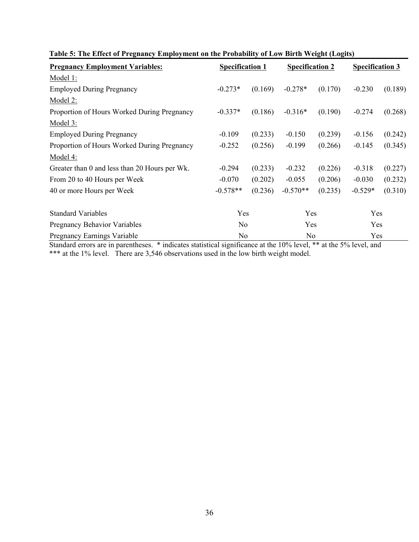| <b>Pregnancy Employment Variables:</b>        |                | <b>Specification 1</b> |            | <b>Specification 2</b> |           | <b>Specification 3</b> |  |
|-----------------------------------------------|----------------|------------------------|------------|------------------------|-----------|------------------------|--|
| Model 1:                                      |                |                        |            |                        |           |                        |  |
| <b>Employed During Pregnancy</b>              | $-0.273*$      | (0.169)                | $-0.278*$  | (0.170)                | $-0.230$  | (0.189)                |  |
| Model 2:                                      |                |                        |            |                        |           |                        |  |
| Proportion of Hours Worked During Pregnancy   | $-0.337*$      | (0.186)                | $-0.316*$  | (0.190)                | $-0.274$  | (0.268)                |  |
| Model 3:                                      |                |                        |            |                        |           |                        |  |
| <b>Employed During Pregnancy</b>              | $-0.109$       | (0.233)                | $-0.150$   | (0.239)                | $-0.156$  | (0.242)                |  |
| Proportion of Hours Worked During Pregnancy   | $-0.252$       | (0.256)                | $-0.199$   | (0.266)                | $-0.145$  | (0.345)                |  |
| Model 4:                                      |                |                        |            |                        |           |                        |  |
| Greater than 0 and less than 20 Hours per Wk. | $-0.294$       | (0.233)                | $-0.232$   | (0.226)                | $-0.318$  | (0.227)                |  |
| From 20 to 40 Hours per Week                  | $-0.070$       | (0.202)                | $-0.055$   | (0.206)                | $-0.030$  | (0.232)                |  |
| 40 or more Hours per Week                     | $-0.578**$     | (0.236)                | $-0.570**$ | (0.235)                | $-0.529*$ | (0.310)                |  |
| <b>Standard Variables</b>                     | Yes            |                        | Yes        |                        | Yes       |                        |  |
| <b>Pregnancy Behavior Variables</b>           | N <sub>0</sub> |                        | Yes        |                        | Yes       |                        |  |
| <b>Pregnancy Earnings Variable</b>            | N <sub>0</sub> |                        |            | No                     |           | Yes                    |  |

# **Table 5: The Effect of Pregnancy Employment on the Probability of Low Birth Weight (Logits)**

Standard errors are in parentheses. \* indicates statistical significance at the 10% level, \*\* at the 5% level, and \*\*\* at the 1% level. There are 3,546 observations used in the low birth weight model.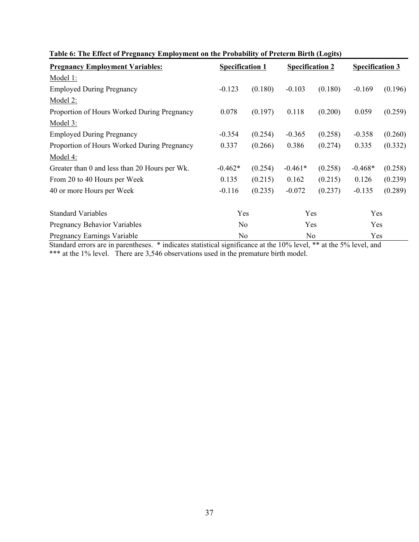| <b>Pregnancy Employment Variables:</b><br><b>Specification 1</b> |                |         | <b>Specification 2</b> |                | <b>Specification 3</b> |         |
|------------------------------------------------------------------|----------------|---------|------------------------|----------------|------------------------|---------|
| Model 1:                                                         |                |         |                        |                |                        |         |
| <b>Employed During Pregnancy</b>                                 | $-0.123$       | (0.180) | $-0.103$               | (0.180)        | $-0.169$               | (0.196) |
| Model 2:                                                         |                |         |                        |                |                        |         |
| Proportion of Hours Worked During Pregnancy                      | 0.078          | (0.197) | 0.118                  | (0.200)        | 0.059                  | (0.259) |
| Model 3:                                                         |                |         |                        |                |                        |         |
| <b>Employed During Pregnancy</b>                                 | $-0.354$       | (0.254) | $-0.365$               | (0.258)        | $-0.358$               | (0.260) |
| Proportion of Hours Worked During Pregnancy                      | 0.337          | (0.266) | 0.386                  | (0.274)        | 0.335                  | (0.332) |
| Model 4:                                                         |                |         |                        |                |                        |         |
| Greater than 0 and less than 20 Hours per Wk.                    | $-0.462*$      | (0.254) | $-0.461*$              | (0.258)        | $-0.468*$              | (0.258) |
| From 20 to 40 Hours per Week                                     | 0.135          | (0.215) | 0.162                  | (0.215)        | 0.126                  | (0.239) |
| 40 or more Hours per Week                                        | $-0.116$       | (0.235) | $-0.072$               | (0.237)        | $-0.135$               | (0.289) |
| <b>Standard Variables</b>                                        | Yes            |         | Yes                    |                | Yes                    |         |
| <b>Pregnancy Behavior Variables</b>                              | N <sub>0</sub> |         | Yes                    |                | Yes                    |         |
| <b>Pregnancy Earnings Variable</b>                               | No             |         |                        | N <sub>0</sub> |                        | Yes     |

# **Table 6: The Effect of Pregnancy Employment on the Probability of Preterm Birth (Logits)**

Standard errors are in parentheses. \* indicates statistical significance at the 10% level, \*\* at the 5% level, and \*\*\* at the 1% level. There are 3,546 observations used in the premature birth model.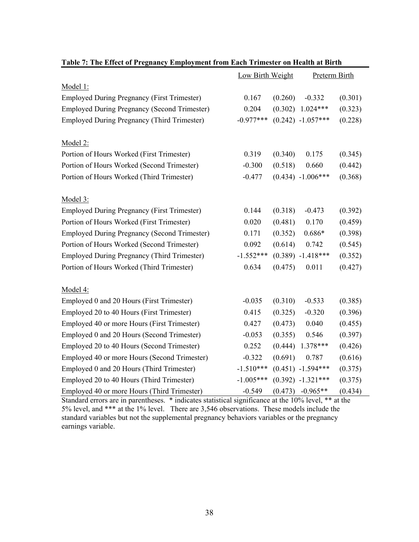|                                                     | Low Birth Weight |         | <b>Preterm Birth</b> |         |
|-----------------------------------------------------|------------------|---------|----------------------|---------|
| Model 1:                                            |                  |         |                      |         |
| <b>Employed During Pregnancy (First Trimester)</b>  | 0.167            | (0.260) | $-0.332$             | (0.301) |
| <b>Employed During Pregnancy (Second Trimester)</b> | 0.204            | (0.302) | $1.024***$           | (0.323) |
| <b>Employed During Pregnancy (Third Trimester)</b>  | $-0.977***$      |         | $(0.242)$ -1.057***  | (0.228) |
| Model 2:                                            |                  |         |                      |         |
| Portion of Hours Worked (First Trimester)           | 0.319            | (0.340) | 0.175                | (0.345) |
| Portion of Hours Worked (Second Trimester)          | $-0.300$         | (0.518) | 0.660                | (0.442) |
| Portion of Hours Worked (Third Trimester)           | $-0.477$         |         | $(0.434) -1.006***$  | (0.368) |
| Model 3:                                            |                  |         |                      |         |
| <b>Employed During Pregnancy (First Trimester)</b>  | 0.144            | (0.318) | $-0.473$             | (0.392) |
| Portion of Hours Worked (First Trimester)           | 0.020            | (0.481) | 0.170                | (0.459) |
| <b>Employed During Pregnancy (Second Trimester)</b> | 0.171            | (0.352) | $0.686*$             | (0.398) |
| Portion of Hours Worked (Second Trimester)          | 0.092            | (0.614) | 0.742                | (0.545) |
| <b>Employed During Pregnancy (Third Trimester)</b>  | $-1.552***$      |         | $(0.389)$ -1.418***  | (0.352) |
| Portion of Hours Worked (Third Trimester)           | 0.634            | (0.475) | 0.011                | (0.427) |
| Model 4:                                            |                  |         |                      |         |
| Employed 0 and 20 Hours (First Trimester)           | $-0.035$         | (0.310) | $-0.533$             | (0.385) |
| Employed 20 to 40 Hours (First Trimester)           | 0.415            | (0.325) | $-0.320$             | (0.396) |
| Employed 40 or more Hours (First Trimester)         | 0.427            | (0.473) | 0.040                | (0.455) |
| Employed 0 and 20 Hours (Second Trimester)          | $-0.053$         | (0.355) | 0.546                | (0.397) |
| Employed 20 to 40 Hours (Second Trimester)          | 0.252            | (0.444) | 1.378***             | (0.426) |
| Employed 40 or more Hours (Second Trimester)        | $-0.322$         | (0.691) | 0.787                | (0.616) |
| Employed 0 and 20 Hours (Third Trimester)           | $-1.510***$      |         | $(0.451) -1.594***$  | (0.375) |
| Employed 20 to 40 Hours (Third Trimester)           | $-1.005***$      |         | $(0.392)$ -1.321***  | (0.375) |
| Employed 40 or more Hours (Third Trimester)         | $-0.549$         | (0.473) | $-0.965**$           | (0.434) |

# **Table 7: The Effect of Pregnancy Employment from Each Trimester on Health at Birth**

Standard errors are in parentheses. \* indicates statistical significance at the 10% level, \*\* at the 5% level, and \*\*\* at the 1% level. There are 3,546 observations. These models include the standard variables but not the supplemental pregnancy behaviors variables or the pregnancy earnings variable.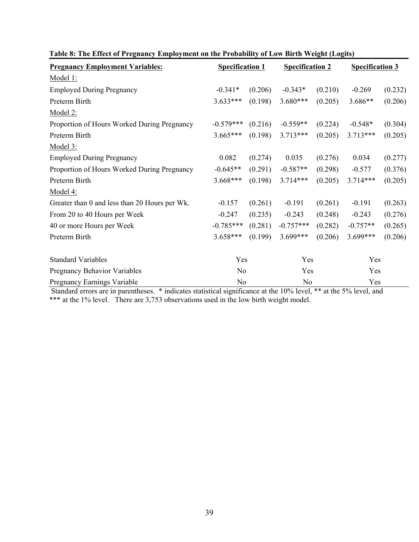| <b>Pregnancy Employment Variables:</b>        |                | <b>Specification 1</b> |                | <b>Specification 2</b> |            | <b>Specification 3</b> |  |
|-----------------------------------------------|----------------|------------------------|----------------|------------------------|------------|------------------------|--|
| Model 1:                                      |                |                        |                |                        |            |                        |  |
| <b>Employed During Pregnancy</b>              | $-0.341*$      | (0.206)                | $-0.343*$      | (0.210)                | $-0.269$   | (0.232)                |  |
| Preterm Birth                                 | $3.633***$     | (0.198)                | 3.680***       | (0.205)                | 3.686**    | (0.206)                |  |
| Model 2:                                      |                |                        |                |                        |            |                        |  |
| Proportion of Hours Worked During Pregnancy   | $-0.579***$    | (0.216)                | $-0.559**$     | (0.224)                | $-0.548*$  | (0.304)                |  |
| Preterm Birth                                 | $3.665***$     | (0.198)                | $3.713***$     | (0.205)                | $3.713***$ | (0.205)                |  |
| Model 3:                                      |                |                        |                |                        |            |                        |  |
| <b>Employed During Pregnancy</b>              | 0.082          | (0.274)                | 0.035          | (0.276)                | 0.034      | (0.277)                |  |
| Proportion of Hours Worked During Pregnancy   | $-0.645**$     | (0.291)                | $-0.587**$     | (0.298)                | $-0.577$   | (0.376)                |  |
| Preterm Birth                                 | $3.668***$     | (0.198)                | 3.714***       | (0.205)                | 3.714***   | (0.205)                |  |
| Model 4:                                      |                |                        |                |                        |            |                        |  |
| Greater than 0 and less than 20 Hours per Wk. | $-0.157$       | (0.261)                | $-0.191$       | (0.261)                | $-0.191$   | (0.263)                |  |
| From 20 to 40 Hours per Week                  | $-0.247$       | (0.235)                | $-0.243$       | (0.248)                | $-0.243$   | (0.276)                |  |
| 40 or more Hours per Week                     | $-0.785***$    | (0.281)                | $-0.757***$    | (0.282)                | $-0.757**$ | (0.265)                |  |
| Preterm Birth                                 | $3.658***$     | (0.199)                | 3.699***       | (0.206)                | 3.699***   | (0.206)                |  |
| <b>Standard Variables</b>                     | Yes            |                        | Yes            |                        | Yes        |                        |  |
| Pregnancy Behavior Variables                  | N <sub>o</sub> |                        | Yes            |                        | Yes        |                        |  |
| Pregnancy Earnings Variable                   | N <sub>0</sub> |                        | N <sub>0</sub> |                        | Yes        |                        |  |

|  |  | Table 8: The Effect of Pregnancy Employment on the Probability of Low Birth Weight (Logits) |  |
|--|--|---------------------------------------------------------------------------------------------|--|
|  |  |                                                                                             |  |

 Standard errors are in parentheses. \* indicates statistical significance at the 10% level, \*\* at the 5% level, and \*\*\* at the 1% level. There are 3,753 observations used in the low birth weight model.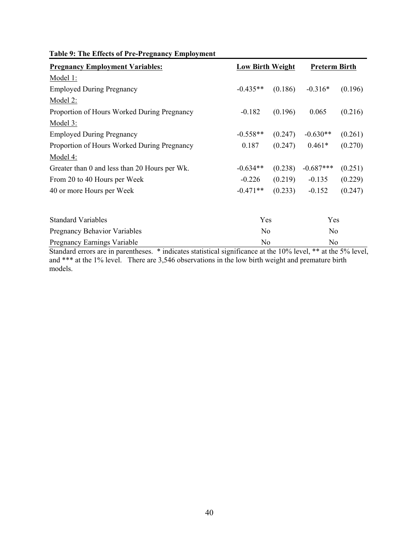|  |  |  |  | Table 9: The Effects of Pre-Pregnancy Employment |  |
|--|--|--|--|--------------------------------------------------|--|
|  |  |  |  |                                                  |  |

| <b>Pregnancy Employment Variables:</b>        | <b>Low Birth Weight</b> |         | <b>Preterm Birth</b> |         |  |
|-----------------------------------------------|-------------------------|---------|----------------------|---------|--|
| Model 1:                                      |                         |         |                      |         |  |
| <b>Employed During Pregnancy</b>              | $-0.435**$              | (0.186) | $-0.316*$            | (0.196) |  |
| Model 2:                                      |                         |         |                      |         |  |
| Proportion of Hours Worked During Pregnancy   | $-0.182$                | (0.196) | 0.065                | (0.216) |  |
| <u>Model 3:</u>                               |                         |         |                      |         |  |
| <b>Employed During Pregnancy</b>              | $-0.558**$              | (0.247) | $-0.630**$           | (0.261) |  |
| Proportion of Hours Worked During Pregnancy   | 0.187                   | (0.247) | $0.461*$             | (0.270) |  |
| Model 4:                                      |                         |         |                      |         |  |
| Greater than 0 and less than 20 Hours per Wk. | $-0.634**$              | (0.238) | $-0.687***$          | (0.251) |  |
| From 20 to 40 Hours per Week                  | $-0.226$                | (0.219) | $-0.135$             | (0.229) |  |
| 40 or more Hours per Week                     | $-0.471**$              | (0.233) | $-0.152$             | (0.247) |  |
| <b>Standard Variables</b>                     | Yes                     |         | Yes                  |         |  |
| <b>Pregnancy Behavior Variables</b>           | N <sub>0</sub>          |         | N <sub>0</sub>       |         |  |
| <b>Pregnancy Earnings Variable</b>            | No                      |         | No                   |         |  |

Standard errors are in parentheses. \* indicates statistical significance at the 10% level, \*\* at the 5% level, and \*\*\* at the 1% level. There are 3,546 observations in the low birth weight and premature birth models.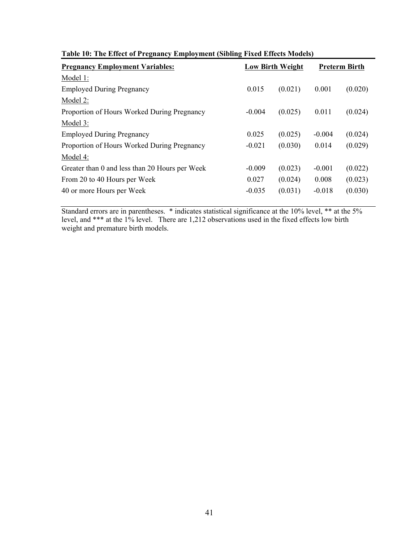|                                                | Table To, The Effect of Frequancy Employment (Shomig Flacu Effects Mouchs) |                         |          |                      |  |  |  |  |
|------------------------------------------------|----------------------------------------------------------------------------|-------------------------|----------|----------------------|--|--|--|--|
| <b>Pregnancy Employment Variables:</b>         |                                                                            | <b>Low Birth Weight</b> |          | <b>Preterm Birth</b> |  |  |  |  |
| Model 1:                                       |                                                                            |                         |          |                      |  |  |  |  |
| <b>Employed During Pregnancy</b>               | 0.015                                                                      | (0.021)                 | 0.001    | (0.020)              |  |  |  |  |
| Model 2:                                       |                                                                            |                         |          |                      |  |  |  |  |
| Proportion of Hours Worked During Pregnancy    | $-0.004$                                                                   | (0.025)                 | 0.011    | (0.024)              |  |  |  |  |
| Model 3:                                       |                                                                            |                         |          |                      |  |  |  |  |
| <b>Employed During Pregnancy</b>               | 0.025                                                                      | (0.025)                 | $-0.004$ | (0.024)              |  |  |  |  |
| Proportion of Hours Worked During Pregnancy    | $-0.021$                                                                   | (0.030)                 | 0.014    | (0.029)              |  |  |  |  |
| Model 4:                                       |                                                                            |                         |          |                      |  |  |  |  |
| Greater than 0 and less than 20 Hours per Week | $-0.009$                                                                   | (0.023)                 | $-0.001$ | (0.022)              |  |  |  |  |
| From 20 to 40 Hours per Week                   | 0.027                                                                      | (0.024)                 | 0.008    | (0.023)              |  |  |  |  |
| 40 or more Hours per Week                      | $-0.035$                                                                   | (0.031)                 | $-0.018$ | (0.030)              |  |  |  |  |
|                                                |                                                                            |                         |          |                      |  |  |  |  |

|  | Table 10: The Effect of Pregnancy Employment (Sibling Fixed Effects Models) |  |  |  |
|--|-----------------------------------------------------------------------------|--|--|--|
|  |                                                                             |  |  |  |

Standard errors are in parentheses. \* indicates statistical significance at the 10% level, \*\* at the 5% level, and \*\*\* at the 1% level. There are 1,212 observations used in the fixed effects low birth weight and premature birth models.